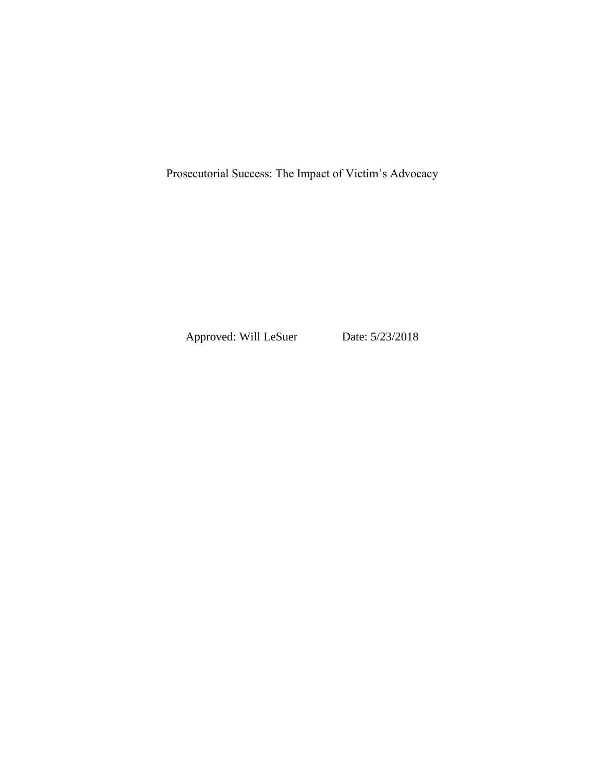Prosecutorial Success: The Impact of Victim's Advocacy

Approved: Will LeSuer Date: 5/23/2018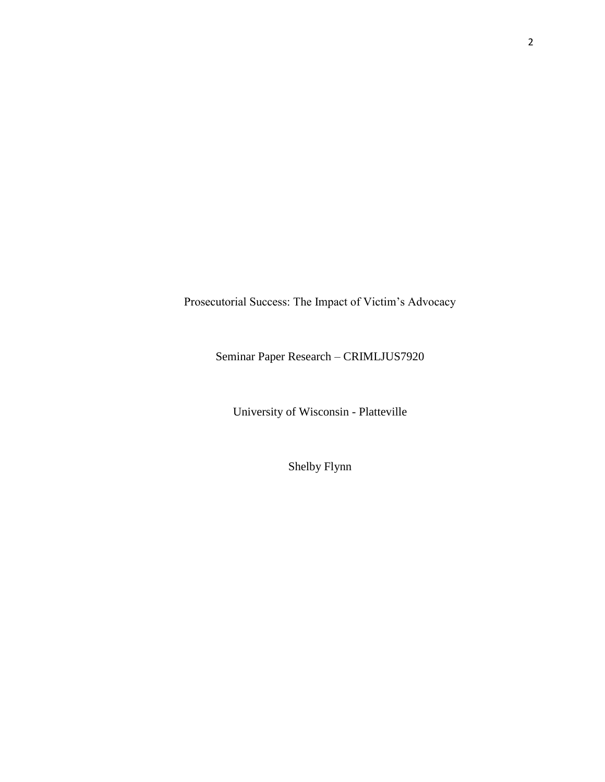Prosecutorial Success: The Impact of Victim's Advocacy

Seminar Paper Research – CRIMLJUS7920

University of Wisconsin - Platteville

Shelby Flynn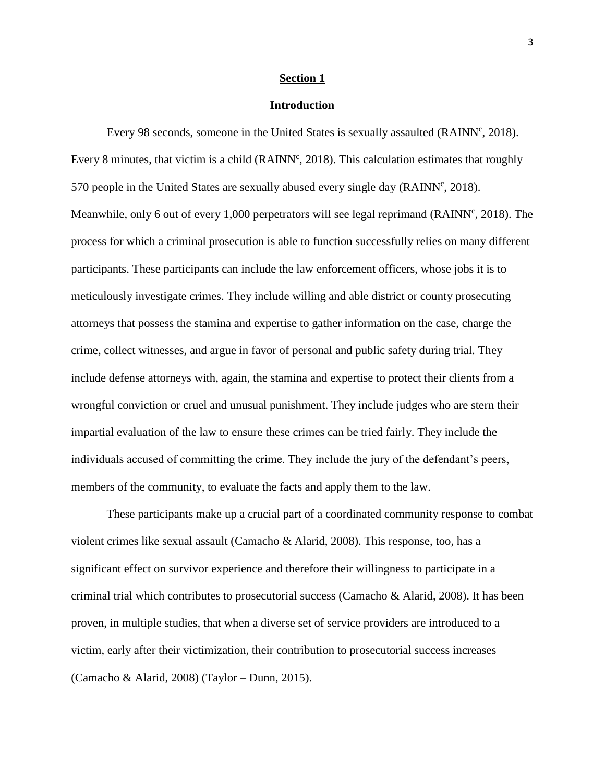#### **Section 1**

### **Introduction**

Every 98 seconds, someone in the United States is sexually assaulted (RAINN<sup>c</sup>, 2018). Every 8 minutes, that victim is a child ( $\text{RAINN}^c$ , 2018). This calculation estimates that roughly 570 people in the United States are sexually abused every single day ( $\text{RAINN}^c$ , 2018). Meanwhile, only 6 out of every 1,000 perpetrators will see legal reprimand (RAINN<sup>c</sup>, 2018). The process for which a criminal prosecution is able to function successfully relies on many different participants. These participants can include the law enforcement officers, whose jobs it is to meticulously investigate crimes. They include willing and able district or county prosecuting attorneys that possess the stamina and expertise to gather information on the case, charge the crime, collect witnesses, and argue in favor of personal and public safety during trial. They include defense attorneys with, again, the stamina and expertise to protect their clients from a wrongful conviction or cruel and unusual punishment. They include judges who are stern their impartial evaluation of the law to ensure these crimes can be tried fairly. They include the individuals accused of committing the crime. They include the jury of the defendant's peers, members of the community, to evaluate the facts and apply them to the law.

These participants make up a crucial part of a coordinated community response to combat violent crimes like sexual assault (Camacho & Alarid, 2008). This response, too, has a significant effect on survivor experience and therefore their willingness to participate in a criminal trial which contributes to prosecutorial success (Camacho & Alarid, 2008). It has been proven, in multiple studies, that when a diverse set of service providers are introduced to a victim, early after their victimization, their contribution to prosecutorial success increases (Camacho & Alarid, 2008) (Taylor – Dunn, 2015).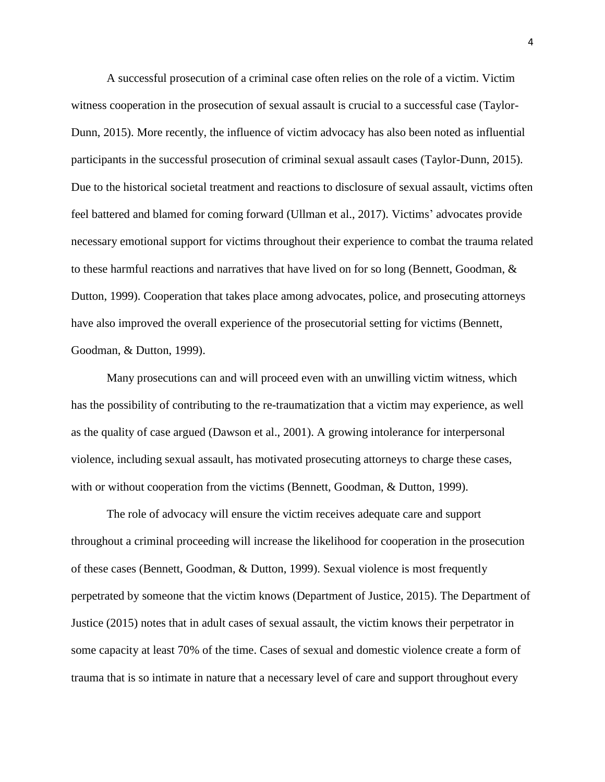A successful prosecution of a criminal case often relies on the role of a victim. Victim witness cooperation in the prosecution of sexual assault is crucial to a successful case (Taylor-Dunn, 2015). More recently, the influence of victim advocacy has also been noted as influential participants in the successful prosecution of criminal sexual assault cases (Taylor-Dunn, 2015). Due to the historical societal treatment and reactions to disclosure of sexual assault, victims often feel battered and blamed for coming forward (Ullman et al., 2017). Victims' advocates provide necessary emotional support for victims throughout their experience to combat the trauma related to these harmful reactions and narratives that have lived on for so long (Bennett, Goodman, & Dutton, 1999). Cooperation that takes place among advocates, police, and prosecuting attorneys have also improved the overall experience of the prosecutorial setting for victims (Bennett, Goodman, & Dutton, 1999).

Many prosecutions can and will proceed even with an unwilling victim witness, which has the possibility of contributing to the re-traumatization that a victim may experience, as well as the quality of case argued (Dawson et al., 2001). A growing intolerance for interpersonal violence, including sexual assault, has motivated prosecuting attorneys to charge these cases, with or without cooperation from the victims (Bennett, Goodman, & Dutton, 1999).

The role of advocacy will ensure the victim receives adequate care and support throughout a criminal proceeding will increase the likelihood for cooperation in the prosecution of these cases (Bennett, Goodman, & Dutton, 1999). Sexual violence is most frequently perpetrated by someone that the victim knows (Department of Justice, 2015). The Department of Justice (2015) notes that in adult cases of sexual assault, the victim knows their perpetrator in some capacity at least 70% of the time. Cases of sexual and domestic violence create a form of trauma that is so intimate in nature that a necessary level of care and support throughout every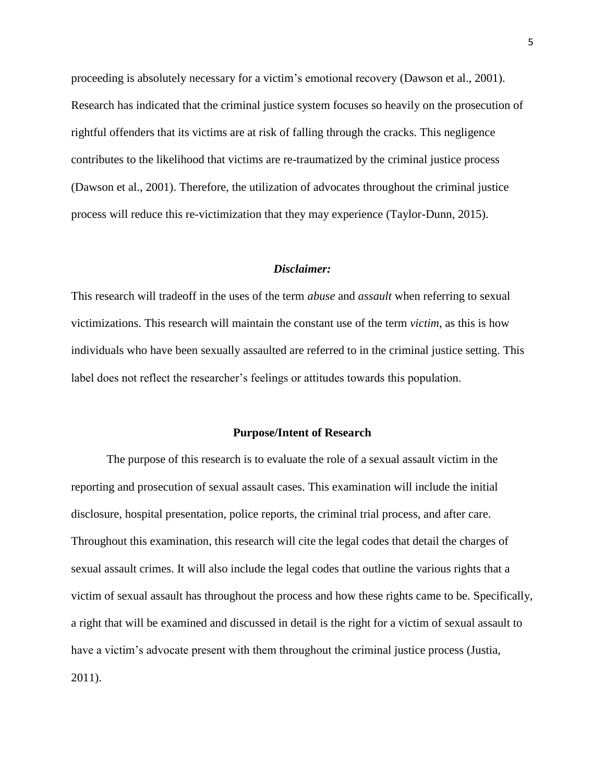proceeding is absolutely necessary for a victim's emotional recovery (Dawson et al., 2001). Research has indicated that the criminal justice system focuses so heavily on the prosecution of rightful offenders that its victims are at risk of falling through the cracks. This negligence contributes to the likelihood that victims are re-traumatized by the criminal justice process (Dawson et al., 2001). Therefore, the utilization of advocates throughout the criminal justice process will reduce this re-victimization that they may experience (Taylor-Dunn, 2015).

#### *Disclaimer:*

This research will tradeoff in the uses of the term *abuse* and *assault* when referring to sexual victimizations. This research will maintain the constant use of the term *victim*, as this is how individuals who have been sexually assaulted are referred to in the criminal justice setting. This label does not reflect the researcher's feelings or attitudes towards this population.

#### **Purpose/Intent of Research**

The purpose of this research is to evaluate the role of a sexual assault victim in the reporting and prosecution of sexual assault cases. This examination will include the initial disclosure, hospital presentation, police reports, the criminal trial process, and after care. Throughout this examination, this research will cite the legal codes that detail the charges of sexual assault crimes. It will also include the legal codes that outline the various rights that a victim of sexual assault has throughout the process and how these rights came to be. Specifically, a right that will be examined and discussed in detail is the right for a victim of sexual assault to have a victim's advocate present with them throughout the criminal justice process (Justia, 2011).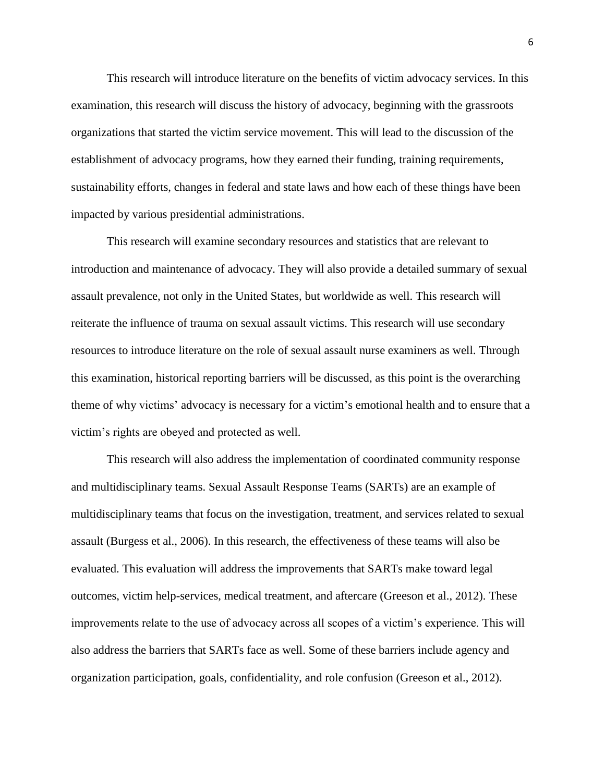This research will introduce literature on the benefits of victim advocacy services. In this examination, this research will discuss the history of advocacy, beginning with the grassroots organizations that started the victim service movement. This will lead to the discussion of the establishment of advocacy programs, how they earned their funding, training requirements, sustainability efforts, changes in federal and state laws and how each of these things have been impacted by various presidential administrations.

This research will examine secondary resources and statistics that are relevant to introduction and maintenance of advocacy. They will also provide a detailed summary of sexual assault prevalence, not only in the United States, but worldwide as well. This research will reiterate the influence of trauma on sexual assault victims. This research will use secondary resources to introduce literature on the role of sexual assault nurse examiners as well. Through this examination, historical reporting barriers will be discussed, as this point is the overarching theme of why victims' advocacy is necessary for a victim's emotional health and to ensure that a victim's rights are obeyed and protected as well.

This research will also address the implementation of coordinated community response and multidisciplinary teams. Sexual Assault Response Teams (SARTs) are an example of multidisciplinary teams that focus on the investigation, treatment, and services related to sexual assault (Burgess et al., 2006). In this research, the effectiveness of these teams will also be evaluated. This evaluation will address the improvements that SARTs make toward legal outcomes, victim help-services, medical treatment, and aftercare (Greeson et al., 2012). These improvements relate to the use of advocacy across all scopes of a victim's experience. This will also address the barriers that SARTs face as well. Some of these barriers include agency and organization participation, goals, confidentiality, and role confusion (Greeson et al., 2012).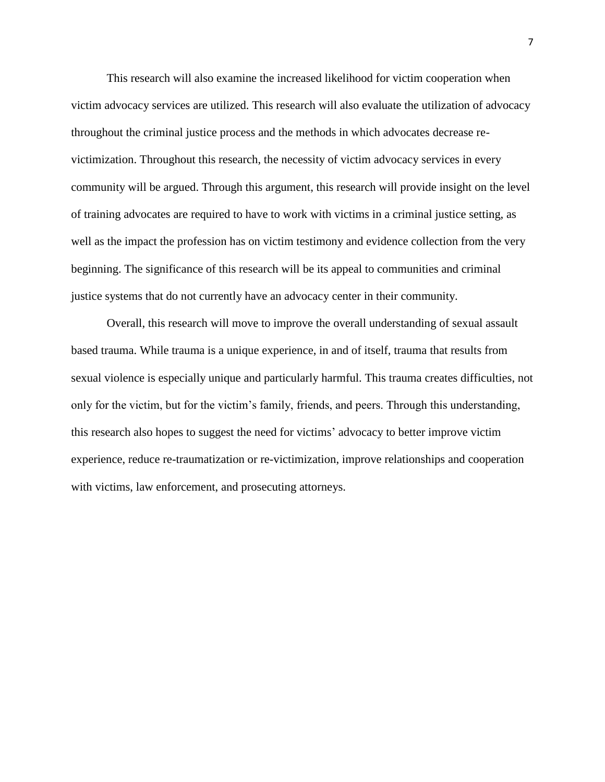This research will also examine the increased likelihood for victim cooperation when victim advocacy services are utilized. This research will also evaluate the utilization of advocacy throughout the criminal justice process and the methods in which advocates decrease revictimization. Throughout this research, the necessity of victim advocacy services in every community will be argued. Through this argument, this research will provide insight on the level of training advocates are required to have to work with victims in a criminal justice setting, as well as the impact the profession has on victim testimony and evidence collection from the very beginning. The significance of this research will be its appeal to communities and criminal justice systems that do not currently have an advocacy center in their community.

Overall, this research will move to improve the overall understanding of sexual assault based trauma. While trauma is a unique experience, in and of itself, trauma that results from sexual violence is especially unique and particularly harmful. This trauma creates difficulties, not only for the victim, but for the victim's family, friends, and peers. Through this understanding, this research also hopes to suggest the need for victims' advocacy to better improve victim experience, reduce re-traumatization or re-victimization, improve relationships and cooperation with victims, law enforcement, and prosecuting attorneys.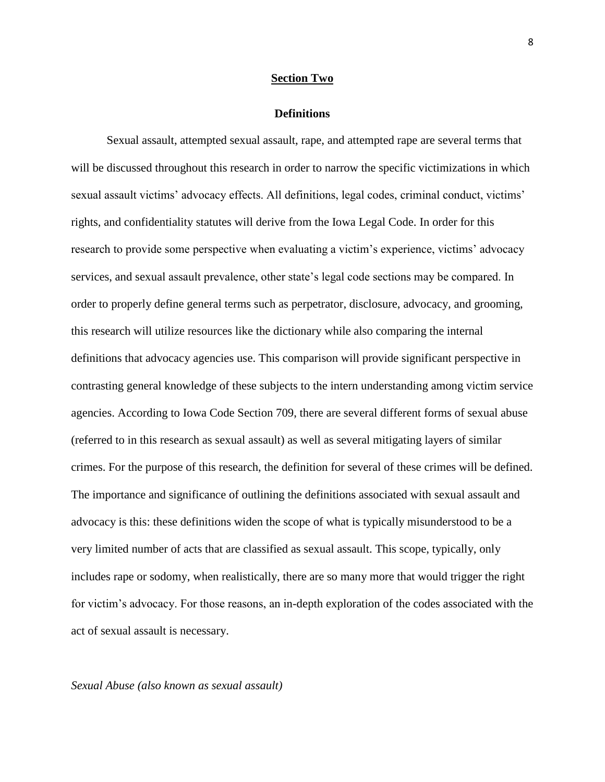#### **Section Two**

#### **Definitions**

Sexual assault, attempted sexual assault, rape, and attempted rape are several terms that will be discussed throughout this research in order to narrow the specific victimizations in which sexual assault victims' advocacy effects. All definitions, legal codes, criminal conduct, victims' rights, and confidentiality statutes will derive from the Iowa Legal Code. In order for this research to provide some perspective when evaluating a victim's experience, victims' advocacy services, and sexual assault prevalence, other state's legal code sections may be compared. In order to properly define general terms such as perpetrator, disclosure, advocacy, and grooming, this research will utilize resources like the dictionary while also comparing the internal definitions that advocacy agencies use. This comparison will provide significant perspective in contrasting general knowledge of these subjects to the intern understanding among victim service agencies. According to Iowa Code Section 709, there are several different forms of sexual abuse (referred to in this research as sexual assault) as well as several mitigating layers of similar crimes. For the purpose of this research, the definition for several of these crimes will be defined. The importance and significance of outlining the definitions associated with sexual assault and advocacy is this: these definitions widen the scope of what is typically misunderstood to be a very limited number of acts that are classified as sexual assault. This scope, typically, only includes rape or sodomy, when realistically, there are so many more that would trigger the right for victim's advocacy. For those reasons, an in-depth exploration of the codes associated with the act of sexual assault is necessary.

## *Sexual Abuse (also known as sexual assault)*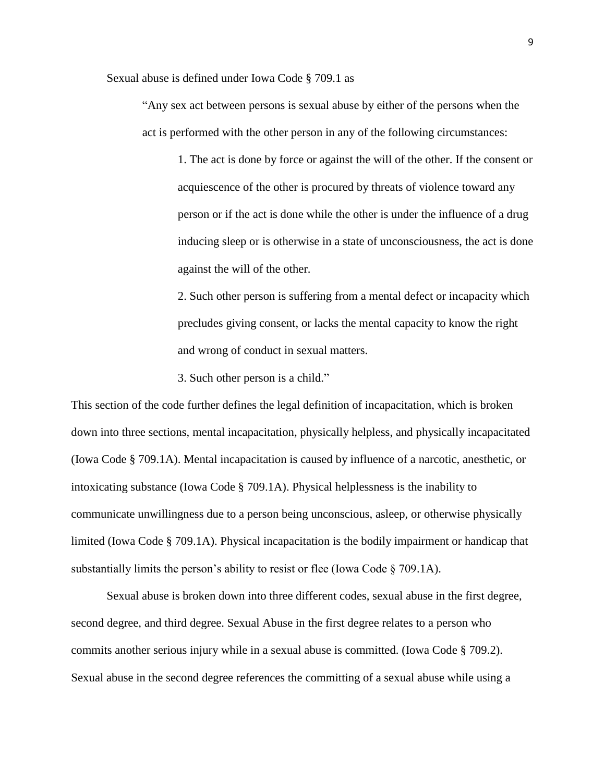Sexual abuse is defined under Iowa Code § 709.1 as

"Any sex act between persons is sexual abuse by either of the persons when the act is performed with the other person in any of the following circumstances:

1. The act is done by force or against the will of the other. If the consent or acquiescence of the other is procured by threats of violence toward any person or if the act is done while the other is under the influence of a drug inducing sleep or is otherwise in a state of unconsciousness, the act is done against the will of the other.

2. Such other person is suffering from a mental defect or incapacity which precludes giving consent, or lacks the mental capacity to know the right and wrong of conduct in sexual matters.

3. Such other person is a child."

This section of the code further defines the legal definition of incapacitation, which is broken down into three sections, mental incapacitation, physically helpless, and physically incapacitated (Iowa Code § 709.1A). Mental incapacitation is caused by influence of a narcotic, anesthetic, or intoxicating substance (Iowa Code § 709.1A). Physical helplessness is the inability to communicate unwillingness due to a person being unconscious, asleep, or otherwise physically limited (Iowa Code § 709.1A). Physical incapacitation is the bodily impairment or handicap that substantially limits the person's ability to resist or flee (Iowa Code § 709.1A).

Sexual abuse is broken down into three different codes, sexual abuse in the first degree, second degree, and third degree. Sexual Abuse in the first degree relates to a person who commits another serious injury while in a sexual abuse is committed. (Iowa Code § 709.2). Sexual abuse in the second degree references the committing of a sexual abuse while using a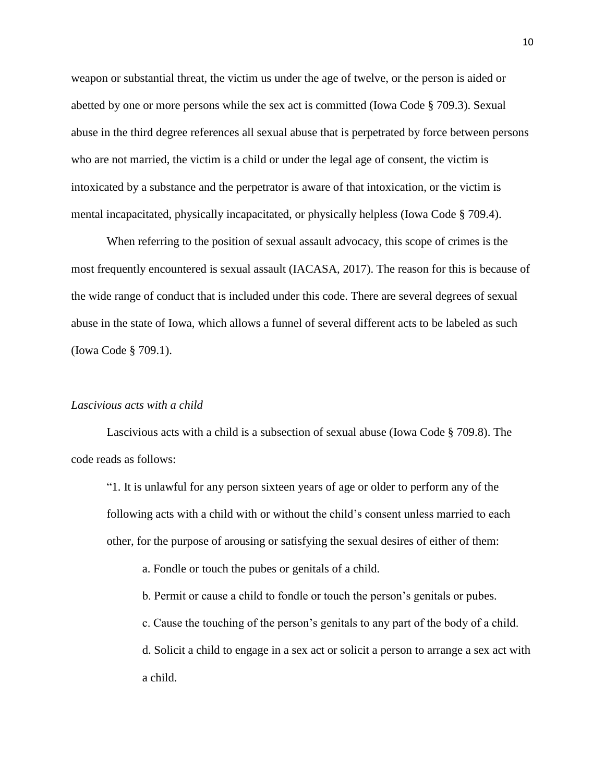weapon or substantial threat, the victim us under the age of twelve, or the person is aided or abetted by one or more persons while the sex act is committed (Iowa Code § 709.3). Sexual abuse in the third degree references all sexual abuse that is perpetrated by force between persons who are not married, the victim is a child or under the legal age of consent, the victim is intoxicated by a substance and the perpetrator is aware of that intoxication, or the victim is mental incapacitated, physically incapacitated, or physically helpless (Iowa Code § 709.4).

When referring to the position of sexual assault advocacy, this scope of crimes is the most frequently encountered is sexual assault (IACASA, 2017). The reason for this is because of the wide range of conduct that is included under this code. There are several degrees of sexual abuse in the state of Iowa, which allows a funnel of several different acts to be labeled as such (Iowa Code § 709.1).

## *Lascivious acts with a child*

Lascivious acts with a child is a subsection of sexual abuse (Iowa Code § 709.8). The code reads as follows:

"1. It is unlawful for any person sixteen years of age or older to perform any of the following acts with a child with or without the child's consent unless married to each other, for the purpose of arousing or satisfying the sexual desires of either of them:

a. Fondle or touch the pubes or genitals of a child.

b. Permit or cause a child to fondle or touch the person's genitals or pubes.

c. Cause the touching of the person's genitals to any part of the body of a child.

d. Solicit a child to engage in a sex act or solicit a person to arrange a sex act with a child.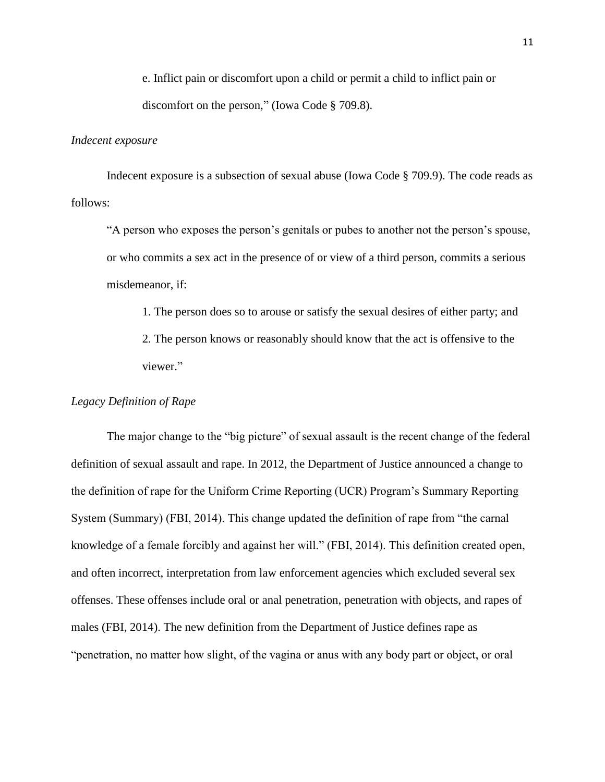e. Inflict pain or discomfort upon a child or permit a child to inflict pain or discomfort on the person," (Iowa Code § 709.8).

#### *Indecent exposure*

Indecent exposure is a subsection of sexual abuse (Iowa Code § 709.9). The code reads as follows:

"A person who exposes the person's genitals or pubes to another not the person's spouse, or who commits a sex act in the presence of or view of a third person, commits a serious misdemeanor, if:

1. The person does so to arouse or satisfy the sexual desires of either party; and 2. The person knows or reasonably should know that the act is offensive to the viewer."

## *Legacy Definition of Rape*

The major change to the "big picture" of sexual assault is the recent change of the federal definition of sexual assault and rape. In 2012, the Department of Justice announced a change to the definition of rape for the Uniform Crime Reporting (UCR) Program's Summary Reporting System (Summary) (FBI, 2014). This change updated the definition of rape from "the carnal knowledge of a female forcibly and against her will." (FBI, 2014). This definition created open, and often incorrect, interpretation from law enforcement agencies which excluded several sex offenses. These offenses include oral or anal penetration, penetration with objects, and rapes of males (FBI, 2014). The new definition from the Department of Justice defines rape as "penetration, no matter how slight, of the vagina or anus with any body part or object, or oral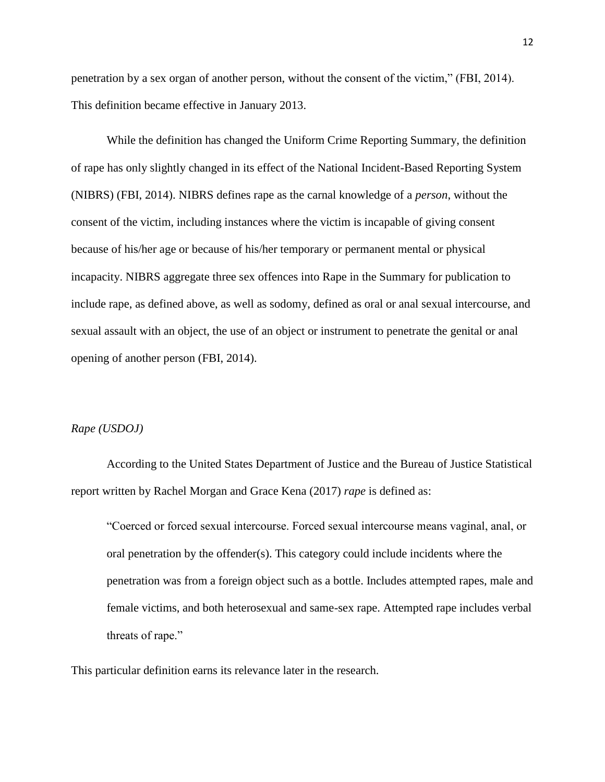penetration by a sex organ of another person, without the consent of the victim," (FBI, 2014). This definition became effective in January 2013.

While the definition has changed the Uniform Crime Reporting Summary, the definition of rape has only slightly changed in its effect of the National Incident-Based Reporting System (NIBRS) (FBI, 2014). NIBRS defines rape as the carnal knowledge of a *person*, without the consent of the victim, including instances where the victim is incapable of giving consent because of his/her age or because of his/her temporary or permanent mental or physical incapacity. NIBRS aggregate three sex offences into Rape in the Summary for publication to include rape, as defined above, as well as sodomy, defined as oral or anal sexual intercourse, and sexual assault with an object, the use of an object or instrument to penetrate the genital or anal opening of another person (FBI, 2014).

## *Rape (USDOJ)*

According to the United States Department of Justice and the Bureau of Justice Statistical report written by Rachel Morgan and Grace Kena (2017) *rape* is defined as:

"Coerced or forced sexual intercourse. Forced sexual intercourse means vaginal, anal, or oral penetration by the offender(s). This category could include incidents where the penetration was from a foreign object such as a bottle. Includes attempted rapes, male and female victims, and both heterosexual and same-sex rape. Attempted rape includes verbal threats of rape."

This particular definition earns its relevance later in the research.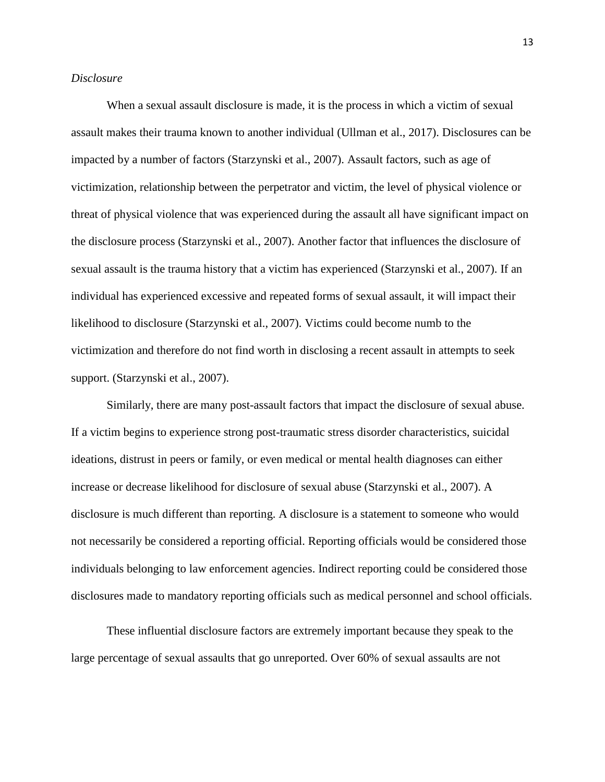## *Disclosure*

When a sexual assault disclosure is made, it is the process in which a victim of sexual assault makes their trauma known to another individual (Ullman et al., 2017). Disclosures can be impacted by a number of factors (Starzynski et al., 2007). Assault factors, such as age of victimization, relationship between the perpetrator and victim, the level of physical violence or threat of physical violence that was experienced during the assault all have significant impact on the disclosure process (Starzynski et al., 2007). Another factor that influences the disclosure of sexual assault is the trauma history that a victim has experienced (Starzynski et al., 2007). If an individual has experienced excessive and repeated forms of sexual assault, it will impact their likelihood to disclosure (Starzynski et al., 2007). Victims could become numb to the victimization and therefore do not find worth in disclosing a recent assault in attempts to seek support. (Starzynski et al., 2007).

Similarly, there are many post-assault factors that impact the disclosure of sexual abuse. If a victim begins to experience strong post-traumatic stress disorder characteristics, suicidal ideations, distrust in peers or family, or even medical or mental health diagnoses can either increase or decrease likelihood for disclosure of sexual abuse (Starzynski et al., 2007). A disclosure is much different than reporting. A disclosure is a statement to someone who would not necessarily be considered a reporting official. Reporting officials would be considered those individuals belonging to law enforcement agencies. Indirect reporting could be considered those disclosures made to mandatory reporting officials such as medical personnel and school officials.

These influential disclosure factors are extremely important because they speak to the large percentage of sexual assaults that go unreported. Over 60% of sexual assaults are not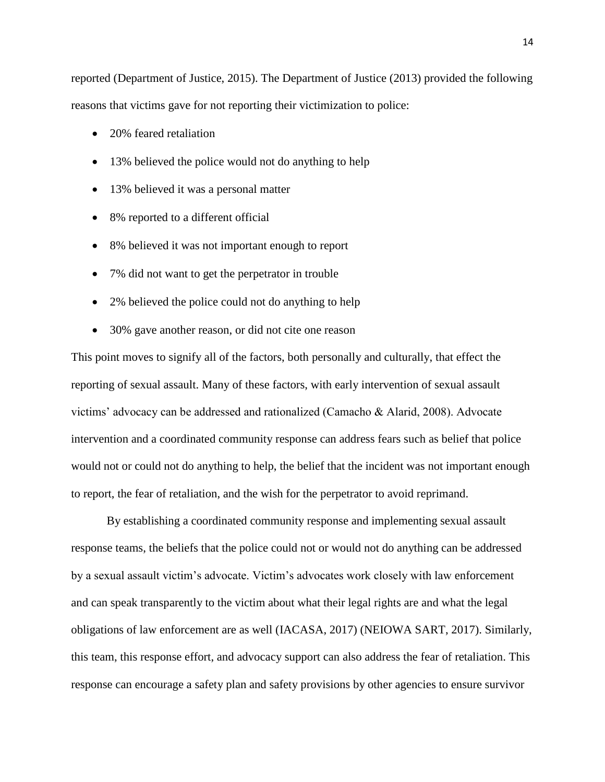reported (Department of Justice, 2015). The Department of Justice (2013) provided the following reasons that victims gave for not reporting their victimization to police:

- 20% feared retaliation
- 13% believed the police would not do anything to help
- 13% believed it was a personal matter
- 8% reported to a different official
- 8% believed it was not important enough to report
- 7% did not want to get the perpetrator in trouble
- 2% believed the police could not do anything to help
- 30% gave another reason, or did not cite one reason

This point moves to signify all of the factors, both personally and culturally, that effect the reporting of sexual assault. Many of these factors, with early intervention of sexual assault victims' advocacy can be addressed and rationalized (Camacho & Alarid, 2008). Advocate intervention and a coordinated community response can address fears such as belief that police would not or could not do anything to help, the belief that the incident was not important enough to report, the fear of retaliation, and the wish for the perpetrator to avoid reprimand.

By establishing a coordinated community response and implementing sexual assault response teams, the beliefs that the police could not or would not do anything can be addressed by a sexual assault victim's advocate. Victim's advocates work closely with law enforcement and can speak transparently to the victim about what their legal rights are and what the legal obligations of law enforcement are as well (IACASA, 2017) (NEIOWA SART, 2017). Similarly, this team, this response effort, and advocacy support can also address the fear of retaliation. This response can encourage a safety plan and safety provisions by other agencies to ensure survivor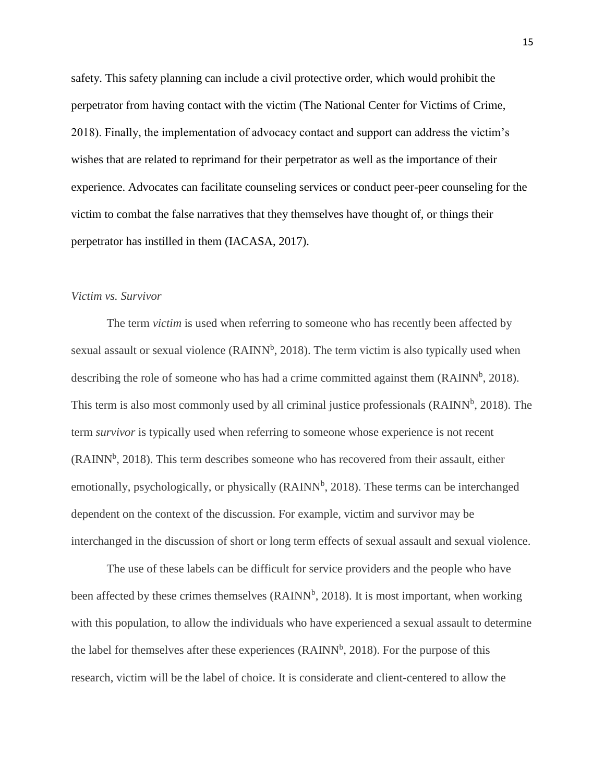safety. This safety planning can include a civil protective order, which would prohibit the perpetrator from having contact with the victim (The National Center for Victims of Crime, 2018). Finally, the implementation of advocacy contact and support can address the victim's wishes that are related to reprimand for their perpetrator as well as the importance of their experience. Advocates can facilitate counseling services or conduct peer-peer counseling for the victim to combat the false narratives that they themselves have thought of, or things their perpetrator has instilled in them (IACASA, 2017).

# *Victim vs. Survivor*

The term *victim* is used when referring to someone who has recently been affected by sexual assault or sexual violence  $(RAINN<sup>b</sup>, 2018)$ . The term victim is also typically used when describing the role of someone who has had a crime committed against them  $(RAINN<sup>b</sup>, 2018)$ . This term is also most commonly used by all criminal justice professionals (RAINN<sup>b</sup>, 2018). The term *survivor* is typically used when referring to someone whose experience is not recent  $(RAINN<sup>b</sup>, 2018)$ . This term describes someone who has recovered from their assault, either emotionally, psychologically, or physically (RAINN<sup>b</sup>, 2018). These terms can be interchanged dependent on the context of the discussion. For example, victim and survivor may be interchanged in the discussion of short or long term effects of sexual assault and sexual violence.

The use of these labels can be difficult for service providers and the people who have been affected by these crimes themselves (RAINN<sup>b</sup>, 2018). It is most important, when working with this population, to allow the individuals who have experienced a sexual assault to determine the label for themselves after these experiences ( $\text{RAINN}^b$ , 2018). For the purpose of this research, victim will be the label of choice. It is considerate and client-centered to allow the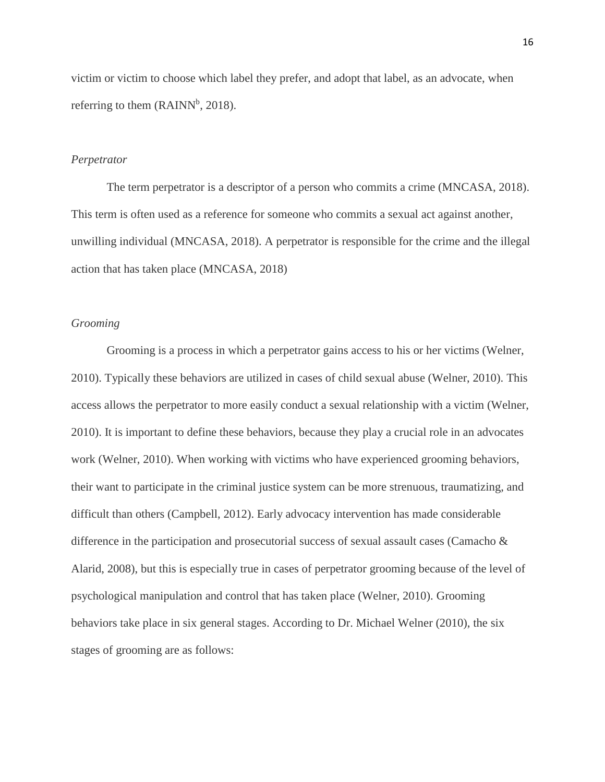victim or victim to choose which label they prefer, and adopt that label, as an advocate, when referring to them  $(RAINN^b, 2018)$ .

#### *Perpetrator*

The term perpetrator is a descriptor of a person who commits a crime (MNCASA, 2018). This term is often used as a reference for someone who commits a sexual act against another, unwilling individual (MNCASA, 2018). A perpetrator is responsible for the crime and the illegal action that has taken place (MNCASA, 2018)

### *Grooming*

Grooming is a process in which a perpetrator gains access to his or her victims (Welner, 2010). Typically these behaviors are utilized in cases of child sexual abuse (Welner, 2010). This access allows the perpetrator to more easily conduct a sexual relationship with a victim (Welner, 2010). It is important to define these behaviors, because they play a crucial role in an advocates work (Welner, 2010). When working with victims who have experienced grooming behaviors, their want to participate in the criminal justice system can be more strenuous, traumatizing, and difficult than others (Campbell, 2012). Early advocacy intervention has made considerable difference in the participation and prosecutorial success of sexual assault cases (Camacho & Alarid, 2008), but this is especially true in cases of perpetrator grooming because of the level of psychological manipulation and control that has taken place (Welner, 2010). Grooming behaviors take place in six general stages. According to Dr. Michael Welner (2010), the six stages of grooming are as follows: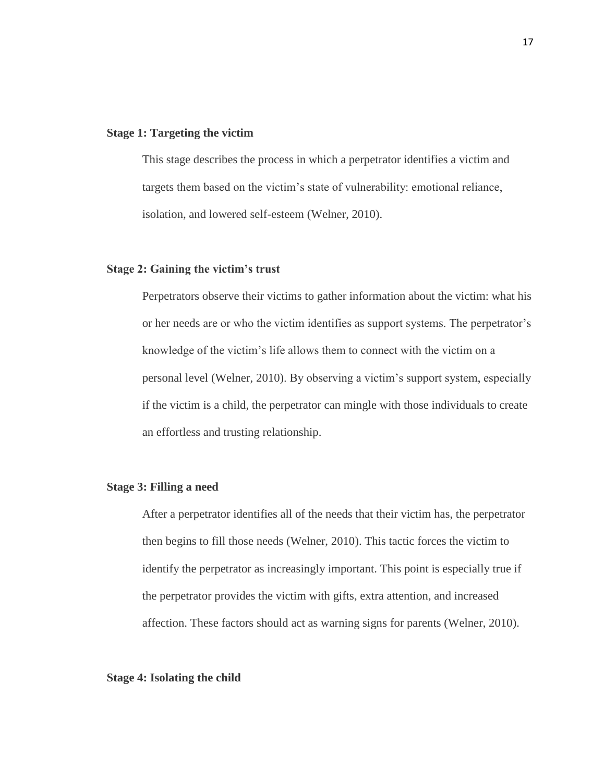### **Stage 1: Targeting the victim**

This stage describes the process in which a perpetrator identifies a victim and targets them based on the victim's state of vulnerability: emotional reliance, isolation, and lowered self-esteem (Welner, 2010).

## **Stage 2: Gaining the victim's trust**

Perpetrators observe their victims to gather information about the victim: what his or her needs are or who the victim identifies as support systems. The perpetrator's knowledge of the victim's life allows them to connect with the victim on a personal level (Welner, 2010). By observing a victim's support system, especially if the victim is a child, the perpetrator can mingle with those individuals to create an effortless and trusting relationship.

## **Stage 3: Filling a need**

After a perpetrator identifies all of the needs that their victim has, the perpetrator then begins to fill those needs (Welner, 2010). This tactic forces the victim to identify the perpetrator as increasingly important. This point is especially true if the perpetrator provides the victim with gifts, extra attention, and increased affection. These factors should act as warning signs for parents (Welner, 2010).

## **Stage 4: Isolating the child**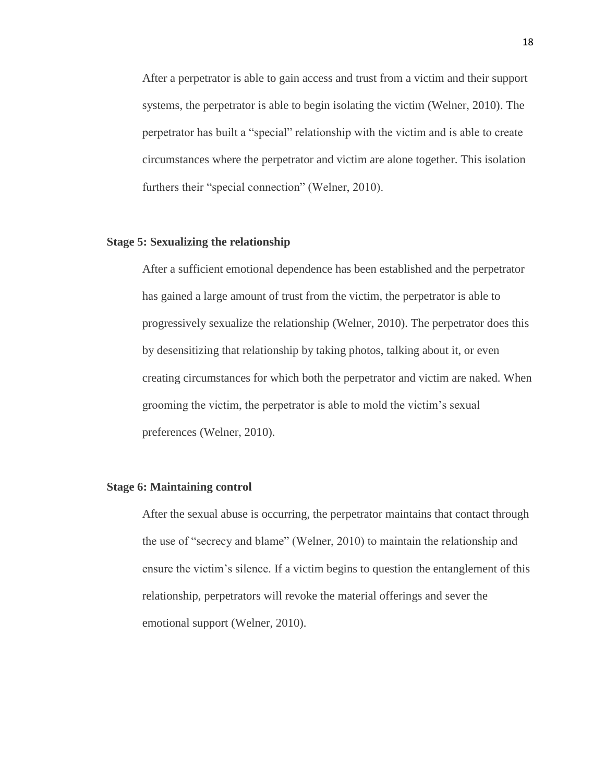After a perpetrator is able to gain access and trust from a victim and their support systems, the perpetrator is able to begin isolating the victim (Welner, 2010). The perpetrator has built a "special" relationship with the victim and is able to create circumstances where the perpetrator and victim are alone together. This isolation furthers their "special connection" (Welner, 2010).

## **Stage 5: Sexualizing the relationship**

After a sufficient emotional dependence has been established and the perpetrator has gained a large amount of trust from the victim, the perpetrator is able to progressively sexualize the relationship (Welner, 2010). The perpetrator does this by desensitizing that relationship by taking photos, talking about it, or even creating circumstances for which both the perpetrator and victim are naked. When grooming the victim, the perpetrator is able to mold the victim's sexual preferences (Welner, 2010).

## **Stage 6: Maintaining control**

After the sexual abuse is occurring, the perpetrator maintains that contact through the use of "secrecy and blame" (Welner, 2010) to maintain the relationship and ensure the victim's silence. If a victim begins to question the entanglement of this relationship, perpetrators will revoke the material offerings and sever the emotional support (Welner, 2010).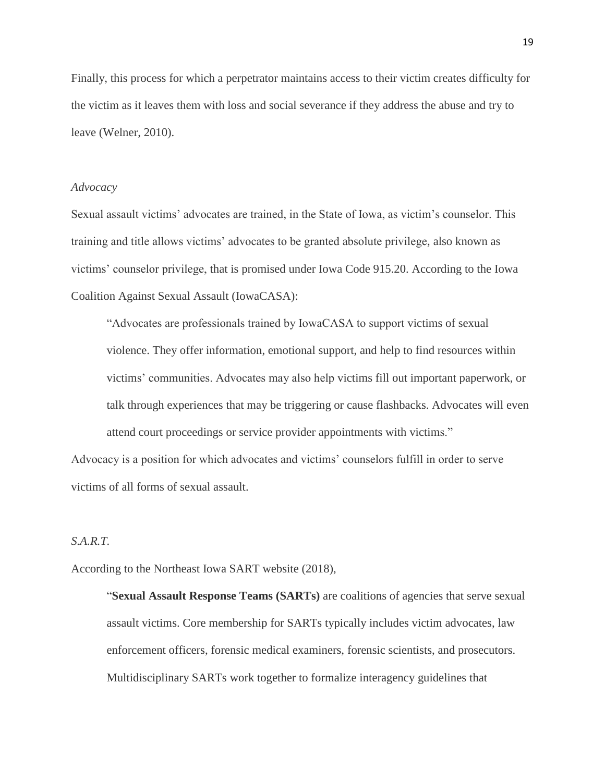Finally, this process for which a perpetrator maintains access to their victim creates difficulty for the victim as it leaves them with loss and social severance if they address the abuse and try to leave (Welner, 2010).

#### *Advocacy*

Sexual assault victims' advocates are trained, in the State of Iowa, as victim's counselor. This training and title allows victims' advocates to be granted absolute privilege, also known as victims' counselor privilege, that is promised under Iowa Code 915.20. According to the Iowa Coalition Against Sexual Assault (IowaCASA):

"Advocates are professionals trained by IowaCASA to support victims of sexual violence. They offer information, emotional support, and help to find resources within victims' communities. Advocates may also help victims fill out important paperwork, or talk through experiences that may be triggering or cause flashbacks. Advocates will even attend court proceedings or service provider appointments with victims."

Advocacy is a position for which advocates and victims' counselors fulfill in order to serve victims of all forms of sexual assault.

## *S.A.R.T.*

According to the Northeast Iowa SART website (2018),

"**Sexual Assault Response Teams (SARTs)** are coalitions of agencies that serve sexual assault victims. Core membership for SARTs typically includes victim advocates, law enforcement officers, forensic medical examiners, forensic scientists, and prosecutors. Multidisciplinary SARTs work together to formalize interagency guidelines that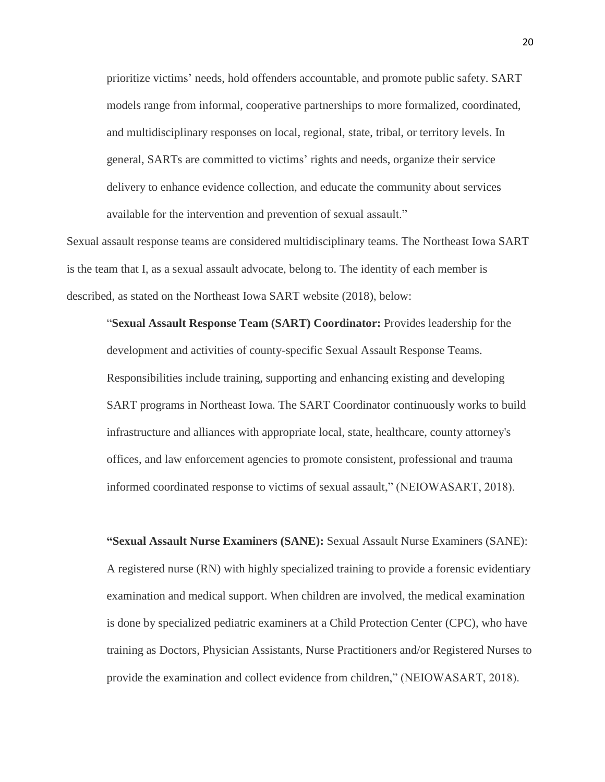prioritize victims' needs, hold offenders accountable, and promote public safety. SART models range from informal, cooperative partnerships to more formalized, coordinated, and multidisciplinary responses on local, regional, state, tribal, or territory levels. In general, SARTs are committed to victims' rights and needs, organize their service delivery to enhance evidence collection, and educate the community about services available for the intervention and prevention of sexual assault."

Sexual assault response teams are considered multidisciplinary teams. The Northeast Iowa SART is the team that I, as a sexual assault advocate, belong to. The identity of each member is described, as stated on the Northeast Iowa SART website (2018), below:

"**Sexual Assault Response Team (SART) Coordinator:** Provides leadership for the development and activities of county-specific Sexual Assault Response Teams. Responsibilities include training, supporting and enhancing existing and developing SART programs in Northeast Iowa. The SART Coordinator continuously works to build infrastructure and alliances with appropriate local, state, healthcare, county attorney's offices, and law enforcement agencies to promote consistent, professional and trauma informed coordinated response to victims of sexual assault," (NEIOWASART, 2018).

**"Sexual Assault Nurse Examiners (SANE):** Sexual Assault Nurse Examiners (SANE): A registered nurse (RN) with highly specialized training to provide a forensic evidentiary examination and medical support. When children are involved, the medical examination is done by specialized pediatric examiners at a Child Protection Center (CPC), who have training as Doctors, Physician Assistants, Nurse Practitioners and/or Registered Nurses to provide the examination and collect evidence from children," (NEIOWASART, 2018).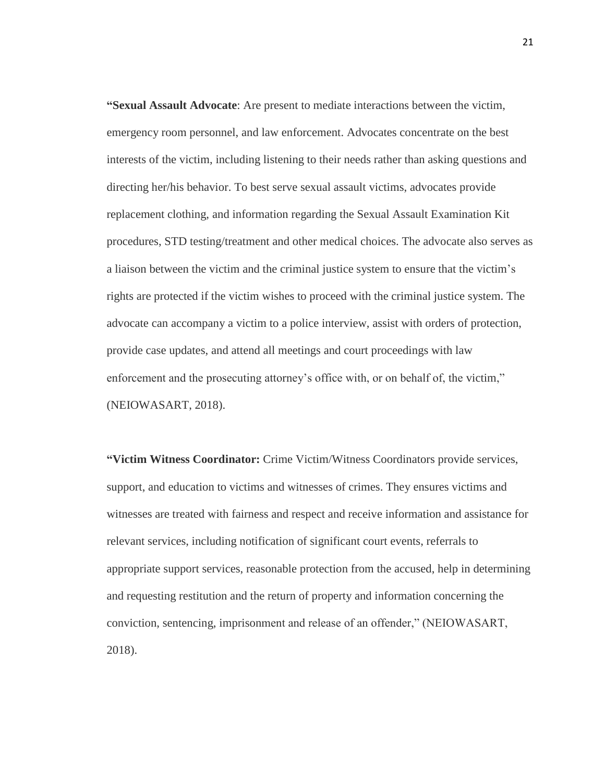**"Sexual Assault Advocate**: Are present to mediate interactions between the victim, emergency room personnel, and law enforcement. Advocates concentrate on the best interests of the victim, including listening to their needs rather than asking questions and directing her/his behavior. To best serve sexual assault victims, advocates provide replacement clothing, and information regarding the Sexual Assault Examination Kit procedures, STD testing/treatment and other medical choices. The advocate also serves as a liaison between the victim and the criminal justice system to ensure that the victim's rights are protected if the victim wishes to proceed with the criminal justice system. The advocate can accompany a victim to a police interview, assist with orders of protection, provide case updates, and attend all meetings and court proceedings with law enforcement and the prosecuting attorney's office with, or on behalf of, the victim," (NEIOWASART, 2018).

**"Victim Witness Coordinator:** Crime Victim/Witness Coordinators provide services, support, and education to victims and witnesses of crimes. They ensures victims and witnesses are treated with fairness and respect and receive information and assistance for relevant services, including notification of significant court events, referrals to appropriate support services, reasonable protection from the accused, help in determining and requesting restitution and the return of property and information concerning the conviction, sentencing, imprisonment and release of an offender," (NEIOWASART, 2018).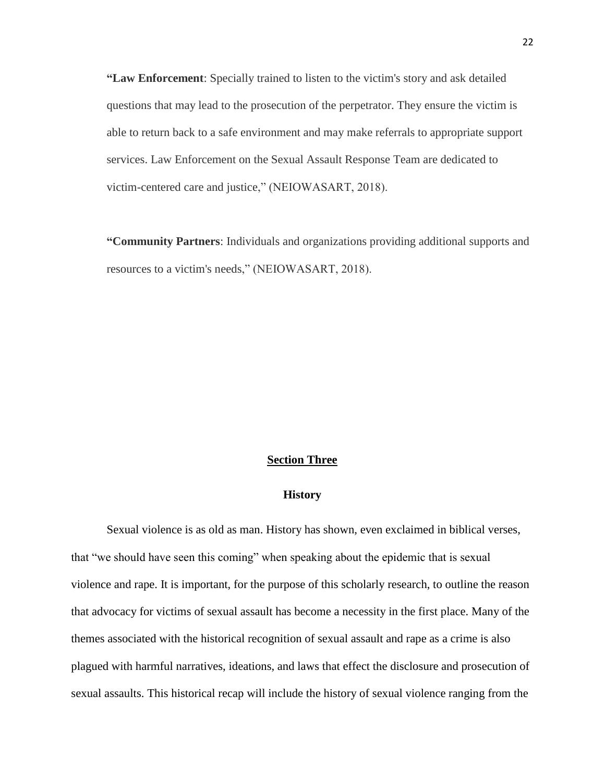**"Law Enforcement**: Specially trained to listen to the victim's story and ask detailed questions that may lead to the prosecution of the perpetrator. They ensure the victim is able to return back to a safe environment and may make referrals to appropriate support services. Law Enforcement on the Sexual Assault Response Team are dedicated to victim-centered care and justice," (NEIOWASART, 2018).

**"Community Partners**: Individuals and organizations providing additional supports and resources to a victim's needs," (NEIOWASART, 2018).

### **Section Three**

### **History**

Sexual violence is as old as man. History has shown, even exclaimed in biblical verses, that "we should have seen this coming" when speaking about the epidemic that is sexual violence and rape. It is important, for the purpose of this scholarly research, to outline the reason that advocacy for victims of sexual assault has become a necessity in the first place. Many of the themes associated with the historical recognition of sexual assault and rape as a crime is also plagued with harmful narratives, ideations, and laws that effect the disclosure and prosecution of sexual assaults. This historical recap will include the history of sexual violence ranging from the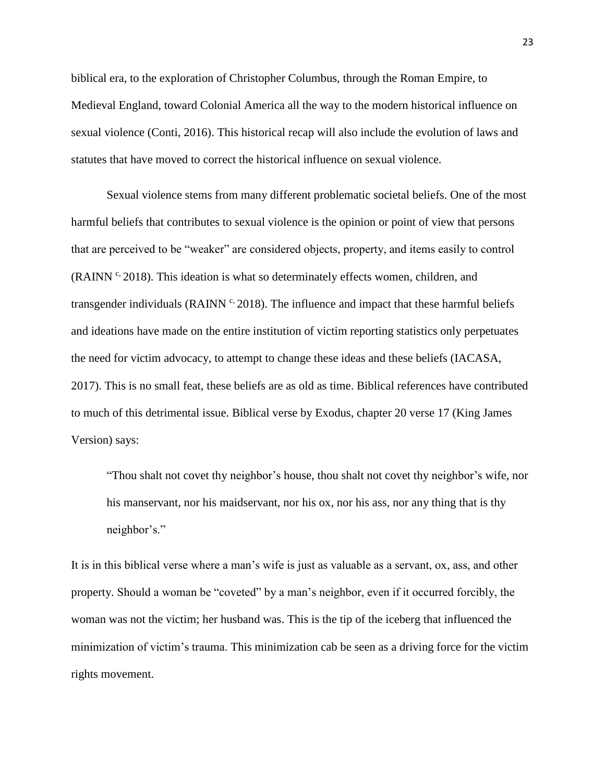biblical era, to the exploration of Christopher Columbus, through the Roman Empire, to Medieval England, toward Colonial America all the way to the modern historical influence on sexual violence (Conti, 2016). This historical recap will also include the evolution of laws and statutes that have moved to correct the historical influence on sexual violence.

Sexual violence stems from many different problematic societal beliefs. One of the most harmful beliefs that contributes to sexual violence is the opinion or point of view that persons that are perceived to be "weaker" are considered objects, property, and items easily to control  $(RAINN<sup>c</sup>, 2018)$ . This ideation is what so determinately effects women, children, and transgender individuals (RAINN  $\degree$  2018). The influence and impact that these harmful beliefs and ideations have made on the entire institution of victim reporting statistics only perpetuates the need for victim advocacy, to attempt to change these ideas and these beliefs (IACASA, 2017). This is no small feat, these beliefs are as old as time. Biblical references have contributed to much of this detrimental issue. Biblical verse by Exodus, chapter 20 verse 17 (King James Version) says:

"Thou shalt not covet thy neighbor's house, thou shalt not covet thy neighbor's wife, nor his manservant, nor his maidservant, nor his ox, nor his ass, nor any thing that is thy neighbor's."

It is in this biblical verse where a man's wife is just as valuable as a servant, ox, ass, and other property. Should a woman be "coveted" by a man's neighbor, even if it occurred forcibly, the woman was not the victim; her husband was. This is the tip of the iceberg that influenced the minimization of victim's trauma. This minimization cab be seen as a driving force for the victim rights movement.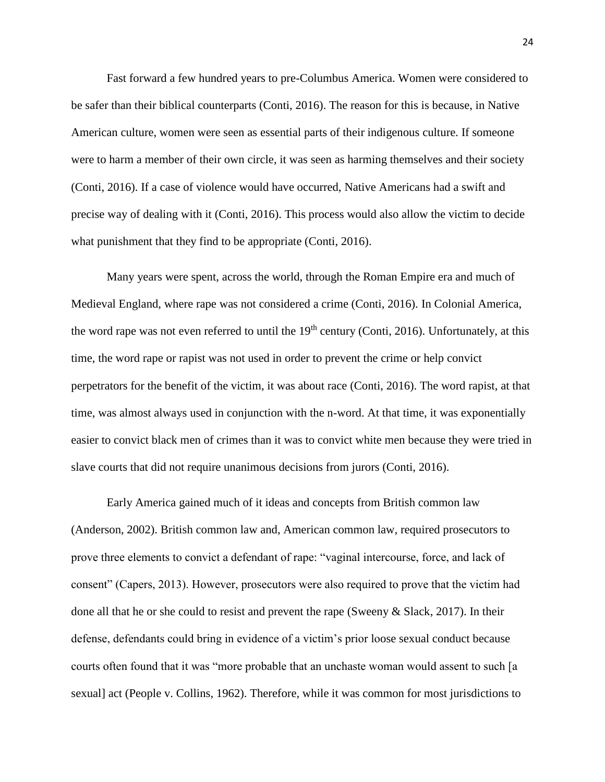Fast forward a few hundred years to pre-Columbus America. Women were considered to be safer than their biblical counterparts (Conti, 2016). The reason for this is because, in Native American culture, women were seen as essential parts of their indigenous culture. If someone were to harm a member of their own circle, it was seen as harming themselves and their society (Conti, 2016). If a case of violence would have occurred, Native Americans had a swift and precise way of dealing with it (Conti, 2016). This process would also allow the victim to decide what punishment that they find to be appropriate (Conti, 2016).

Many years were spent, across the world, through the Roman Empire era and much of Medieval England, where rape was not considered a crime (Conti, 2016). In Colonial America, the word rape was not even referred to until the  $19<sup>th</sup>$  century (Conti, 2016). Unfortunately, at this time, the word rape or rapist was not used in order to prevent the crime or help convict perpetrators for the benefit of the victim, it was about race (Conti, 2016). The word rapist, at that time, was almost always used in conjunction with the n-word. At that time, it was exponentially easier to convict black men of crimes than it was to convict white men because they were tried in slave courts that did not require unanimous decisions from jurors (Conti, 2016).

Early America gained much of it ideas and concepts from British common law (Anderson, 2002). British common law and, American common law, required prosecutors to prove three elements to convict a defendant of rape: "vaginal intercourse, force, and lack of consent" (Capers, 2013). However, prosecutors were also required to prove that the victim had done all that he or she could to resist and prevent the rape (Sweeny & Slack, 2017). In their defense, defendants could bring in evidence of a victim's prior loose sexual conduct because courts often found that it was "more probable that an unchaste woman would assent to such [a sexual] act (People v. Collins, 1962). Therefore, while it was common for most jurisdictions to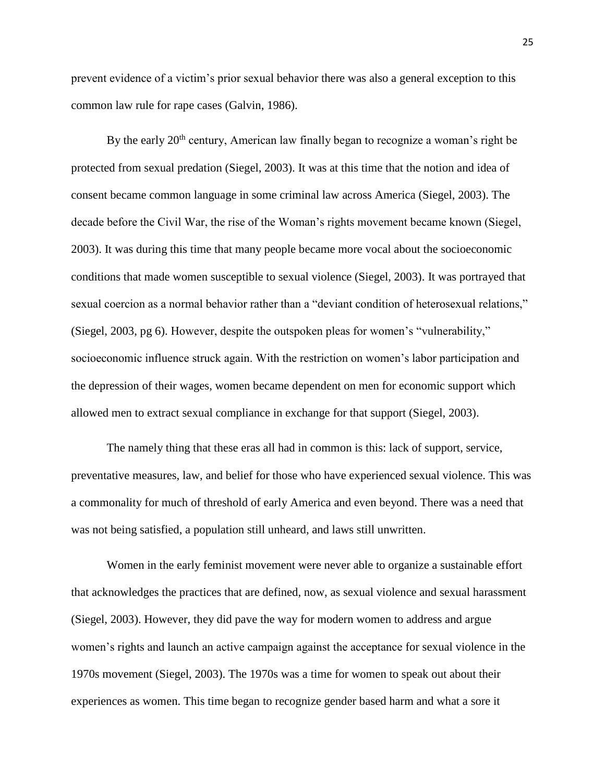prevent evidence of a victim's prior sexual behavior there was also a general exception to this common law rule for rape cases (Galvin, 1986).

By the early  $20<sup>th</sup>$  century, American law finally began to recognize a woman's right be protected from sexual predation (Siegel, 2003). It was at this time that the notion and idea of consent became common language in some criminal law across America (Siegel, 2003). The decade before the Civil War, the rise of the Woman's rights movement became known (Siegel, 2003). It was during this time that many people became more vocal about the socioeconomic conditions that made women susceptible to sexual violence (Siegel, 2003). It was portrayed that sexual coercion as a normal behavior rather than a "deviant condition of heterosexual relations," (Siegel, 2003, pg 6). However, despite the outspoken pleas for women's "vulnerability," socioeconomic influence struck again. With the restriction on women's labor participation and the depression of their wages, women became dependent on men for economic support which allowed men to extract sexual compliance in exchange for that support (Siegel, 2003).

The namely thing that these eras all had in common is this: lack of support, service, preventative measures, law, and belief for those who have experienced sexual violence. This was a commonality for much of threshold of early America and even beyond. There was a need that was not being satisfied, a population still unheard, and laws still unwritten.

Women in the early feminist movement were never able to organize a sustainable effort that acknowledges the practices that are defined, now, as sexual violence and sexual harassment (Siegel, 2003). However, they did pave the way for modern women to address and argue women's rights and launch an active campaign against the acceptance for sexual violence in the 1970s movement (Siegel, 2003). The 1970s was a time for women to speak out about their experiences as women. This time began to recognize gender based harm and what a sore it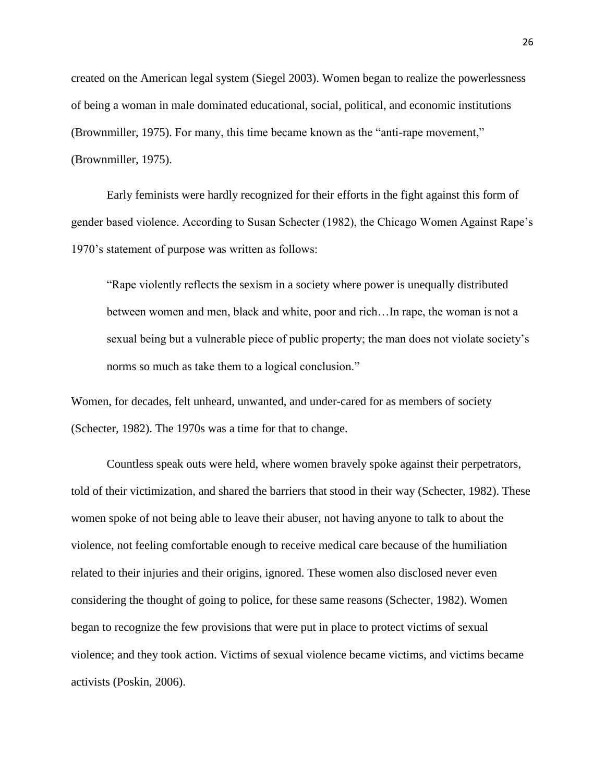created on the American legal system (Siegel 2003). Women began to realize the powerlessness of being a woman in male dominated educational, social, political, and economic institutions (Brownmiller, 1975). For many, this time became known as the "anti-rape movement," (Brownmiller, 1975).

Early feminists were hardly recognized for their efforts in the fight against this form of gender based violence. According to Susan Schecter (1982), the Chicago Women Against Rape's 1970's statement of purpose was written as follows:

"Rape violently reflects the sexism in a society where power is unequally distributed between women and men, black and white, poor and rich…In rape, the woman is not a sexual being but a vulnerable piece of public property; the man does not violate society's norms so much as take them to a logical conclusion."

Women, for decades, felt unheard, unwanted, and under-cared for as members of society (Schecter, 1982). The 1970s was a time for that to change.

Countless speak outs were held, where women bravely spoke against their perpetrators, told of their victimization, and shared the barriers that stood in their way (Schecter, 1982). These women spoke of not being able to leave their abuser, not having anyone to talk to about the violence, not feeling comfortable enough to receive medical care because of the humiliation related to their injuries and their origins, ignored. These women also disclosed never even considering the thought of going to police, for these same reasons (Schecter, 1982). Women began to recognize the few provisions that were put in place to protect victims of sexual violence; and they took action. Victims of sexual violence became victims, and victims became activists (Poskin, 2006).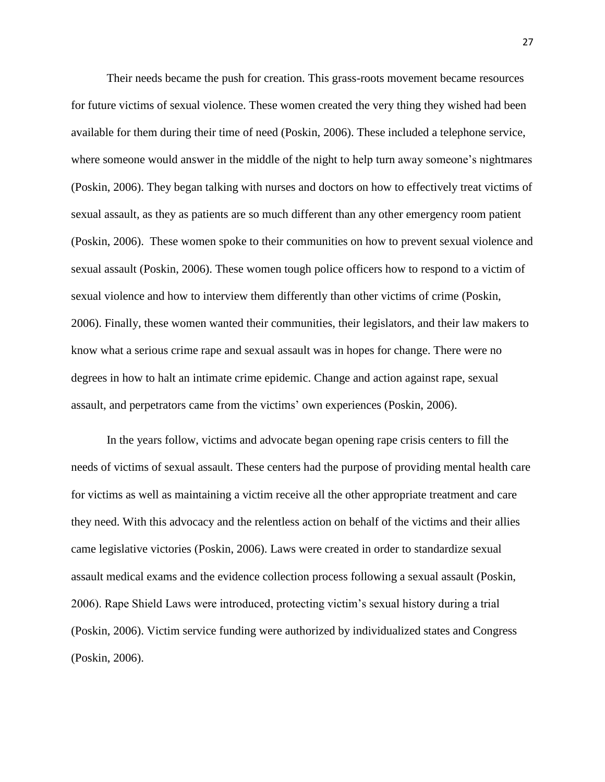Their needs became the push for creation. This grass-roots movement became resources for future victims of sexual violence. These women created the very thing they wished had been available for them during their time of need (Poskin, 2006). These included a telephone service, where someone would answer in the middle of the night to help turn away someone's nightmares (Poskin, 2006). They began talking with nurses and doctors on how to effectively treat victims of sexual assault, as they as patients are so much different than any other emergency room patient (Poskin, 2006). These women spoke to their communities on how to prevent sexual violence and sexual assault (Poskin, 2006). These women tough police officers how to respond to a victim of sexual violence and how to interview them differently than other victims of crime (Poskin, 2006). Finally, these women wanted their communities, their legislators, and their law makers to know what a serious crime rape and sexual assault was in hopes for change. There were no degrees in how to halt an intimate crime epidemic. Change and action against rape, sexual assault, and perpetrators came from the victims' own experiences (Poskin, 2006).

In the years follow, victims and advocate began opening rape crisis centers to fill the needs of victims of sexual assault. These centers had the purpose of providing mental health care for victims as well as maintaining a victim receive all the other appropriate treatment and care they need. With this advocacy and the relentless action on behalf of the victims and their allies came legislative victories (Poskin, 2006). Laws were created in order to standardize sexual assault medical exams and the evidence collection process following a sexual assault (Poskin, 2006). Rape Shield Laws were introduced, protecting victim's sexual history during a trial (Poskin, 2006). Victim service funding were authorized by individualized states and Congress (Poskin, 2006).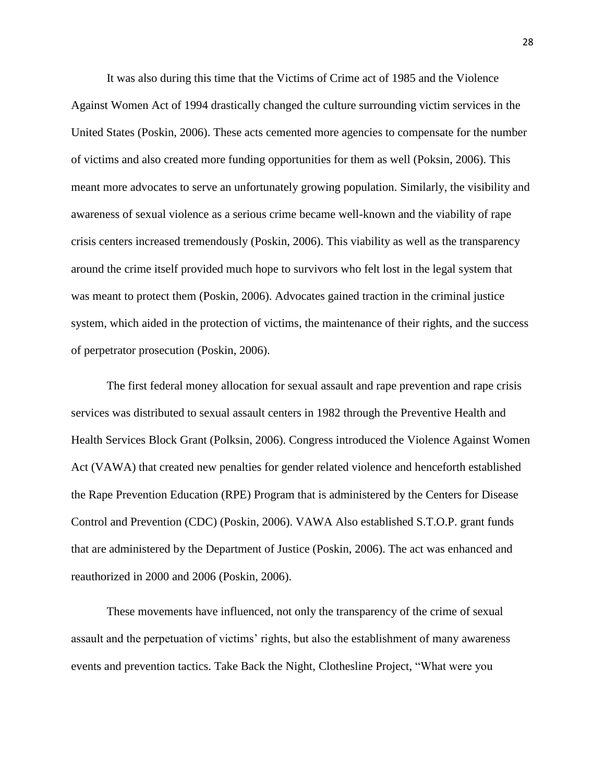It was also during this time that the Victims of Crime act of 1985 and the Violence Against Women Act of 1994 drastically changed the culture surrounding victim services in the United States (Poskin, 2006). These acts cemented more agencies to compensate for the number of victims and also created more funding opportunities for them as well (Poksin, 2006). This meant more advocates to serve an unfortunately growing population. Similarly, the visibility and awareness of sexual violence as a serious crime became well-known and the viability of rape crisis centers increased tremendously (Poskin, 2006). This viability as well as the transparency around the crime itself provided much hope to survivors who felt lost in the legal system that was meant to protect them (Poskin, 2006). Advocates gained traction in the criminal justice system, which aided in the protection of victims, the maintenance of their rights, and the success of perpetrator prosecution (Poskin, 2006).

The first federal money allocation for sexual assault and rape prevention and rape crisis services was distributed to sexual assault centers in 1982 through the Preventive Health and Health Services Block Grant (Polksin, 2006). Congress introduced the Violence Against Women Act (VAWA) that created new penalties for gender related violence and henceforth established the Rape Prevention Education (RPE) Program that is administered by the Centers for Disease Control and Prevention (CDC) (Poskin, 2006). VAWA Also established S.T.O.P. grant funds that are administered by the Department of Justice (Poskin, 2006). The act was enhanced and reauthorized in 2000 and 2006 (Poskin, 2006).

These movements have influenced, not only the transparency of the crime of sexual assault and the perpetuation of victims' rights, but also the establishment of many awareness events and prevention tactics. Take Back the Night, Clothesline Project, "What were you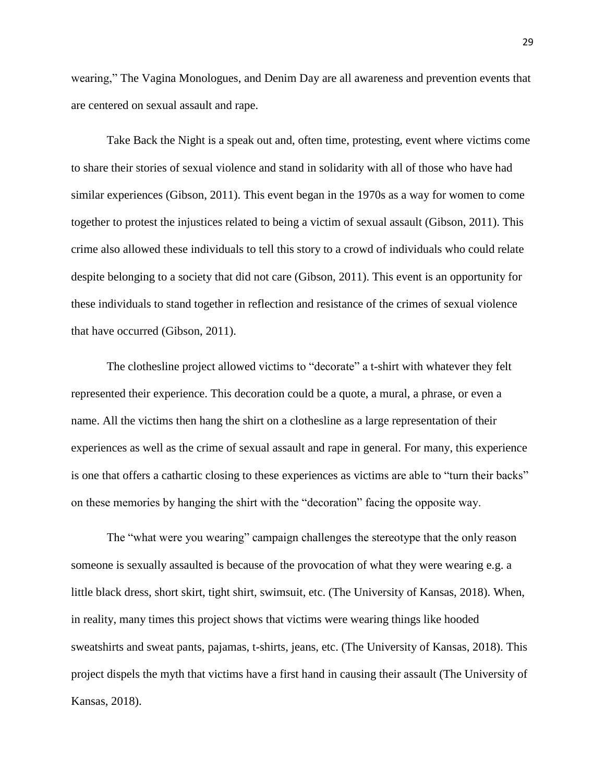wearing," The Vagina Monologues, and Denim Day are all awareness and prevention events that are centered on sexual assault and rape.

Take Back the Night is a speak out and, often time, protesting, event where victims come to share their stories of sexual violence and stand in solidarity with all of those who have had similar experiences (Gibson, 2011). This event began in the 1970s as a way for women to come together to protest the injustices related to being a victim of sexual assault (Gibson, 2011). This crime also allowed these individuals to tell this story to a crowd of individuals who could relate despite belonging to a society that did not care (Gibson, 2011). This event is an opportunity for these individuals to stand together in reflection and resistance of the crimes of sexual violence that have occurred (Gibson, 2011).

The clothesline project allowed victims to "decorate" a t-shirt with whatever they felt represented their experience. This decoration could be a quote, a mural, a phrase, or even a name. All the victims then hang the shirt on a clothesline as a large representation of their experiences as well as the crime of sexual assault and rape in general. For many, this experience is one that offers a cathartic closing to these experiences as victims are able to "turn their backs" on these memories by hanging the shirt with the "decoration" facing the opposite way.

The "what were you wearing" campaign challenges the stereotype that the only reason someone is sexually assaulted is because of the provocation of what they were wearing e.g. a little black dress, short skirt, tight shirt, swimsuit, etc. (The University of Kansas, 2018). When, in reality, many times this project shows that victims were wearing things like hooded sweatshirts and sweat pants, pajamas, t-shirts, jeans, etc. (The University of Kansas, 2018). This project dispels the myth that victims have a first hand in causing their assault (The University of Kansas, 2018).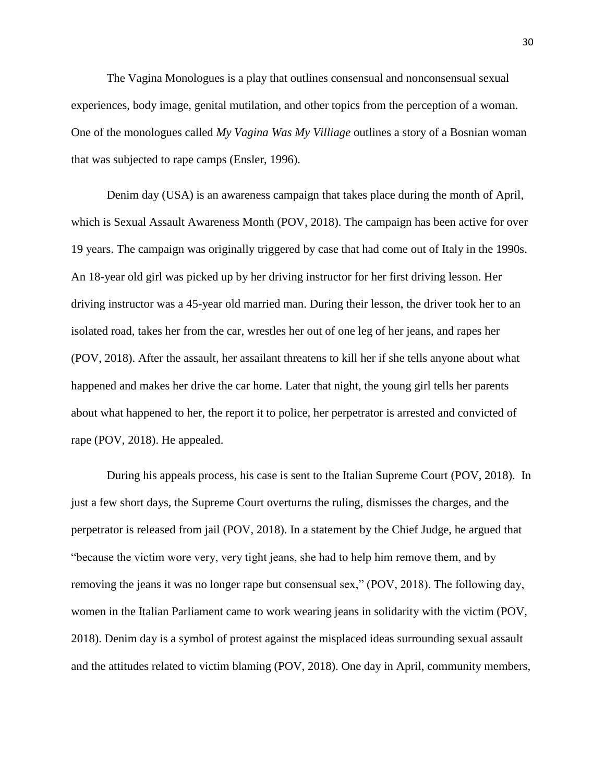The Vagina Monologues is a play that outlines consensual and nonconsensual sexual experiences, body image, genital mutilation, and other topics from the perception of a woman. One of the monologues called *My Vagina Was My Villiage* outlines a story of a Bosnian woman that was subjected to rape camps (Ensler, 1996).

Denim day (USA) is an awareness campaign that takes place during the month of April, which is Sexual Assault Awareness Month (POV, 2018). The campaign has been active for over 19 years. The campaign was originally triggered by case that had come out of Italy in the 1990s. An 18-year old girl was picked up by her driving instructor for her first driving lesson. Her driving instructor was a 45-year old married man. During their lesson, the driver took her to an isolated road, takes her from the car, wrestles her out of one leg of her jeans, and rapes her (POV, 2018). After the assault, her assailant threatens to kill her if she tells anyone about what happened and makes her drive the car home. Later that night, the young girl tells her parents about what happened to her, the report it to police, her perpetrator is arrested and convicted of rape (POV, 2018). He appealed.

During his appeals process, his case is sent to the Italian Supreme Court (POV, 2018). In just a few short days, the Supreme Court overturns the ruling, dismisses the charges, and the perpetrator is released from jail (POV, 2018). In a statement by the Chief Judge, he argued that "because the victim wore very, very tight jeans, she had to help him remove them, and by removing the jeans it was no longer rape but consensual sex," (POV, 2018). The following day, women in the Italian Parliament came to work wearing jeans in solidarity with the victim (POV, 2018). Denim day is a symbol of protest against the misplaced ideas surrounding sexual assault and the attitudes related to victim blaming (POV, 2018). One day in April, community members,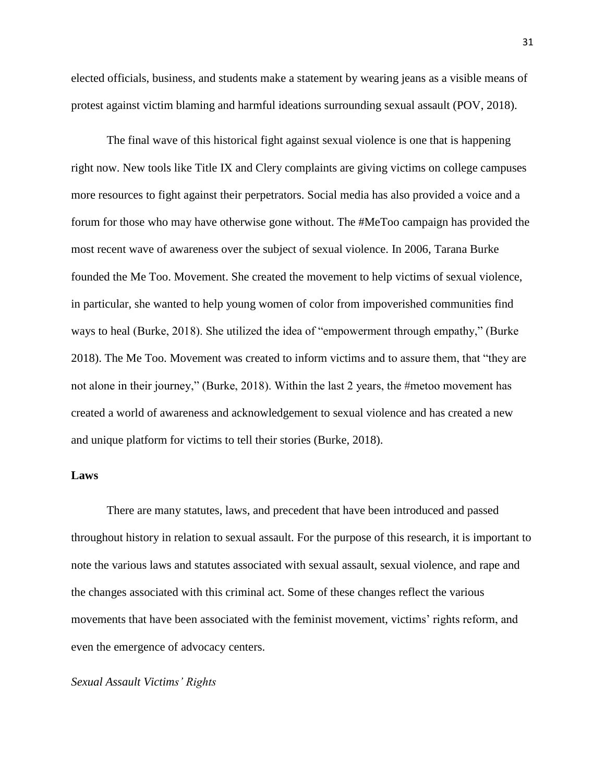elected officials, business, and students make a statement by wearing jeans as a visible means of protest against victim blaming and harmful ideations surrounding sexual assault (POV, 2018).

The final wave of this historical fight against sexual violence is one that is happening right now. New tools like Title IX and Clery complaints are giving victims on college campuses more resources to fight against their perpetrators. Social media has also provided a voice and a forum for those who may have otherwise gone without. The #MeToo campaign has provided the most recent wave of awareness over the subject of sexual violence. In 2006, Tarana Burke founded the Me Too. Movement. She created the movement to help victims of sexual violence, in particular, she wanted to help young women of color from impoverished communities find ways to heal (Burke, 2018). She utilized the idea of "empowerment through empathy," (Burke 2018). The Me Too. Movement was created to inform victims and to assure them, that "they are not alone in their journey," (Burke, 2018). Within the last 2 years, the #metoo movement has created a world of awareness and acknowledgement to sexual violence and has created a new and unique platform for victims to tell their stories (Burke, 2018).

## **Laws**

There are many statutes, laws, and precedent that have been introduced and passed throughout history in relation to sexual assault. For the purpose of this research, it is important to note the various laws and statutes associated with sexual assault, sexual violence, and rape and the changes associated with this criminal act. Some of these changes reflect the various movements that have been associated with the feminist movement, victims' rights reform, and even the emergence of advocacy centers.

## *Sexual Assault Victims' Rights*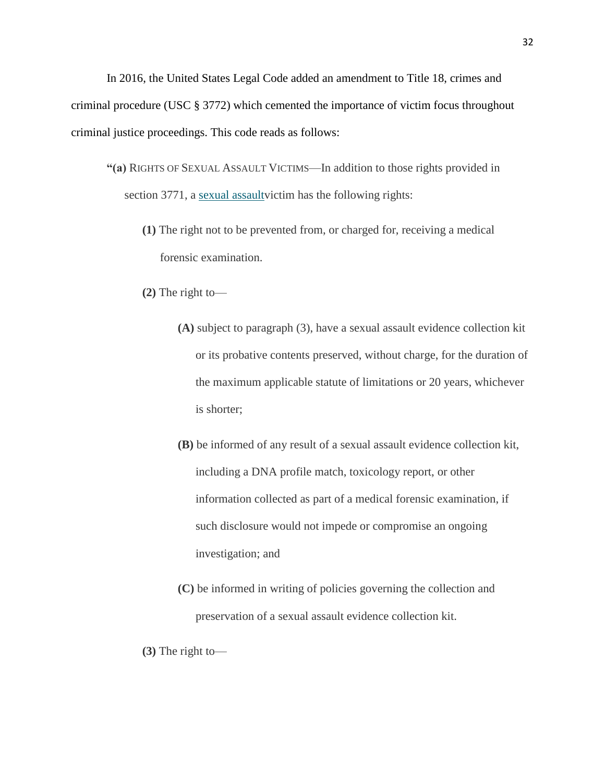In 2016, the United States Legal Code added an amendment to Title 18, crimes and criminal procedure (USC § 3772) which cemented the importance of victim focus throughout criminal justice proceedings. This code reads as follows:

- **"(a)** RIGHTS OF SEXUAL ASSAULT VICTIMS—In addition to those rights provided in section 3771, a sexual assault victim has the following rights:
	- **(1)** The right not to be prevented from, or charged for, receiving a medical forensic examination.
	- **(2)** The right to—
		- **(A)** subject to paragraph (3), have a sexual assault evidence collection kit or its probative contents preserved, without charge, for the duration of the maximum applicable statute of limitations or 20 years, whichever is shorter;
		- **(B)** be informed of any result of a sexual assault evidence collection kit, including a DNA profile match, toxicology report, or other information collected as part of a medical forensic examination, if such disclosure would not impede or compromise an ongoing investigation; and
		- **(C)** be informed in writing of policies governing the collection and preservation of a sexual assault evidence collection kit.
	- **(3)** The right to—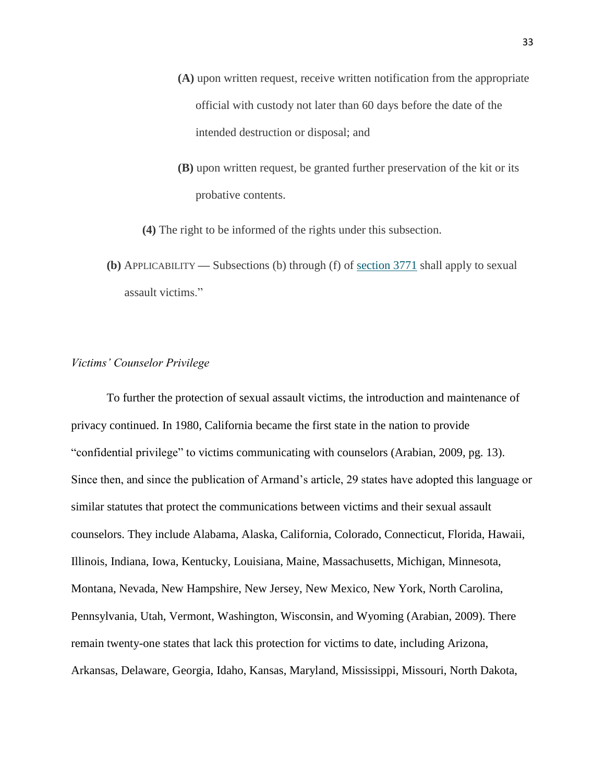- **(A)** upon written request, receive written notification from the appropriate official with custody not later than 60 days before the date of the intended destruction or disposal; and
- **(B)** upon written request, be granted further preservation of the kit or its probative contents.
- **(4)** The right to be informed of the rights under this subsection.
- **(b)** APPLICABILITY **—** Subsections (b) through (f) of [section 3771](https://www.law.cornell.edu/uscode/text/18/3771) shall apply to sexual assault victims."

#### *Victims' Counselor Privilege*

To further the protection of sexual assault victims, the introduction and maintenance of privacy continued. In 1980, California became the first state in the nation to provide "confidential privilege" to victims communicating with counselors (Arabian, 2009, pg. 13). Since then, and since the publication of Armand's article, 29 states have adopted this language or similar statutes that protect the communications between victims and their sexual assault counselors. They include Alabama, Alaska, California, Colorado, Connecticut, Florida, Hawaii, Illinois, Indiana, Iowa, Kentucky, Louisiana, Maine, Massachusetts, Michigan, Minnesota, Montana, Nevada, New Hampshire, New Jersey, New Mexico, New York, North Carolina, Pennsylvania, Utah, Vermont, Washington, Wisconsin, and Wyoming (Arabian, 2009). There remain twenty-one states that lack this protection for victims to date, including Arizona, Arkansas, Delaware, Georgia, Idaho, Kansas, Maryland, Mississippi, Missouri, North Dakota,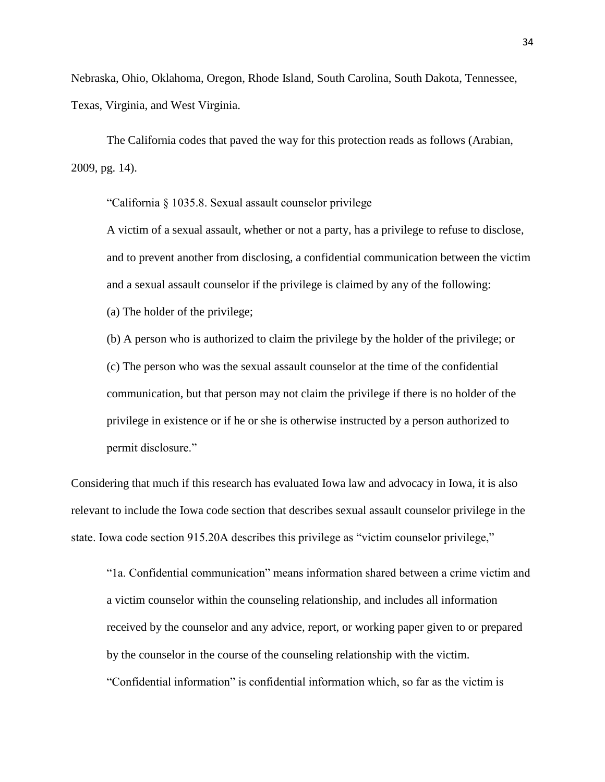Nebraska, Ohio, Oklahoma, Oregon, Rhode Island, South Carolina, South Dakota, Tennessee, Texas, Virginia, and West Virginia.

The California codes that paved the way for this protection reads as follows (Arabian, 2009, pg. 14).

"California § 1035.8. Sexual assault counselor privilege

A victim of a sexual assault, whether or not a party, has a privilege to refuse to disclose, and to prevent another from disclosing, a confidential communication between the victim and a sexual assault counselor if the privilege is claimed by any of the following:

(a) The holder of the privilege;

(b) A person who is authorized to claim the privilege by the holder of the privilege; or (c) The person who was the sexual assault counselor at the time of the confidential communication, but that person may not claim the privilege if there is no holder of the privilege in existence or if he or she is otherwise instructed by a person authorized to permit disclosure."

Considering that much if this research has evaluated Iowa law and advocacy in Iowa, it is also relevant to include the Iowa code section that describes sexual assault counselor privilege in the state. Iowa code section 915.20A describes this privilege as "victim counselor privilege,"

"1a. Confidential communication" means information shared between a crime victim and a victim counselor within the counseling relationship, and includes all information received by the counselor and any advice, report, or working paper given to or prepared by the counselor in the course of the counseling relationship with the victim. "Confidential information" is confidential information which, so far as the victim is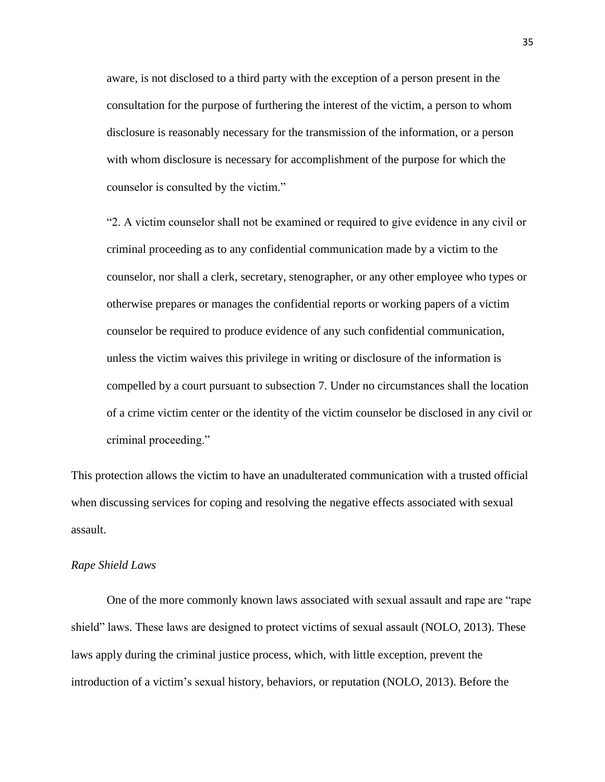aware, is not disclosed to a third party with the exception of a person present in the consultation for the purpose of furthering the interest of the victim, a person to whom disclosure is reasonably necessary for the transmission of the information, or a person with whom disclosure is necessary for accomplishment of the purpose for which the counselor is consulted by the victim."

"2. A victim counselor shall not be examined or required to give evidence in any civil or criminal proceeding as to any confidential communication made by a victim to the counselor, nor shall a clerk, secretary, stenographer, or any other employee who types or otherwise prepares or manages the confidential reports or working papers of a victim counselor be required to produce evidence of any such confidential communication, unless the victim waives this privilege in writing or disclosure of the information is compelled by a court pursuant to subsection 7. Under no circumstances shall the location of a crime victim center or the identity of the victim counselor be disclosed in any civil or criminal proceeding."

This protection allows the victim to have an unadulterated communication with a trusted official when discussing services for coping and resolving the negative effects associated with sexual assault.

#### *Rape Shield Laws*

One of the more commonly known laws associated with sexual assault and rape are "rape shield" laws. These laws are designed to protect victims of sexual assault (NOLO, 2013). These laws apply during the criminal justice process, which, with little exception, prevent the introduction of a victim's sexual history, behaviors, or reputation (NOLO, 2013). Before the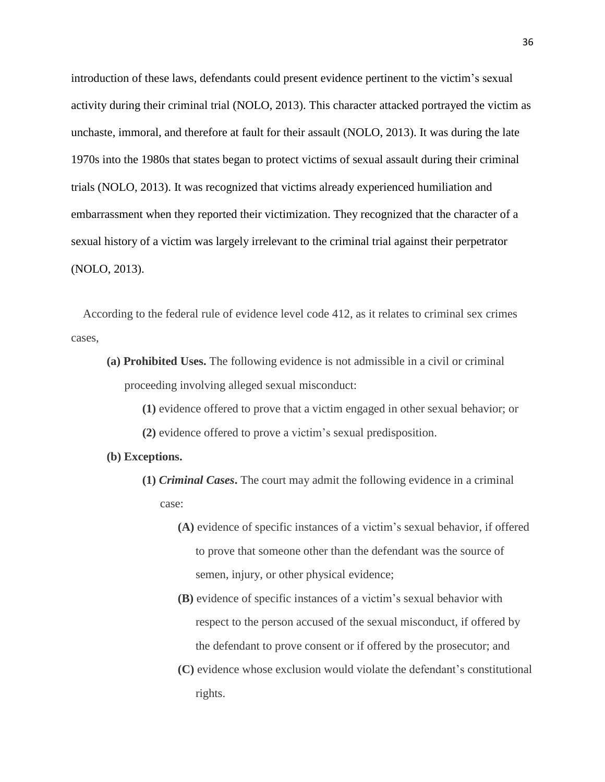introduction of these laws, defendants could present evidence pertinent to the victim's sexual activity during their criminal trial (NOLO, 2013). This character attacked portrayed the victim as unchaste, immoral, and therefore at fault for their assault (NOLO, 2013). It was during the late 1970s into the 1980s that states began to protect victims of sexual assault during their criminal trials (NOLO, 2013). It was recognized that victims already experienced humiliation and embarrassment when they reported their victimization. They recognized that the character of a sexual history of a victim was largely irrelevant to the criminal trial against their perpetrator (NOLO, 2013).

According to the federal rule of evidence level code 412, as it relates to criminal sex crimes cases,

- **(a) Prohibited Uses.** The following evidence is not admissible in a civil or criminal proceeding involving alleged sexual misconduct:
	- **(1)** evidence offered to prove that a victim engaged in other sexual behavior; or
	- **(2)** evidence offered to prove a victim's sexual predisposition.
- **(b) Exceptions.**
	- **(1)** *Criminal Cases***.** The court may admit the following evidence in a criminal case:
		- **(A)** evidence of specific instances of a victim's sexual behavior, if offered to prove that someone other than the defendant was the source of semen, injury, or other physical evidence;
		- **(B)** evidence of specific instances of a victim's sexual behavior with respect to the person accused of the sexual misconduct, if offered by the defendant to prove consent or if offered by the prosecutor; and
		- **(C)** evidence whose exclusion would violate the defendant's constitutional rights.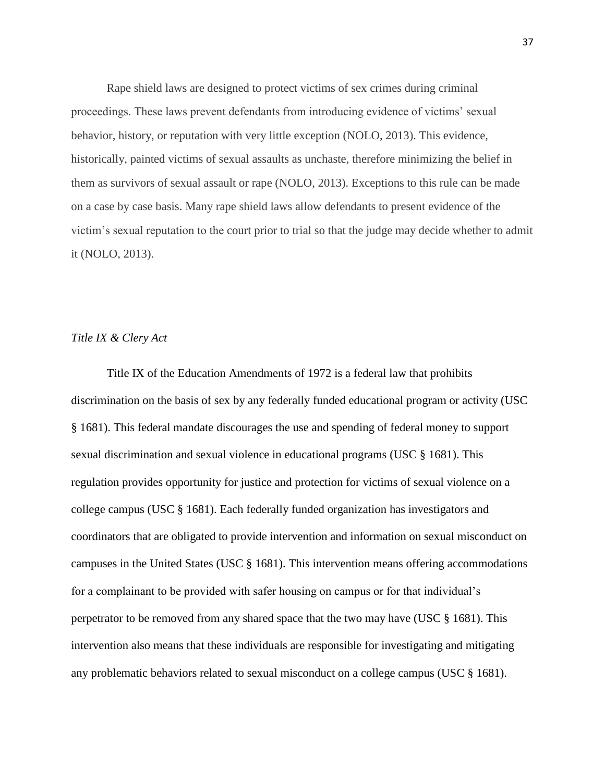Rape shield laws are designed to protect victims of sex crimes during criminal proceedings. These laws prevent defendants from introducing evidence of victims' sexual behavior, history, or reputation with very little exception (NOLO, 2013). This evidence, historically, painted victims of sexual assaults as unchaste, therefore minimizing the belief in them as survivors of sexual assault or rape (NOLO, 2013). Exceptions to this rule can be made on a case by case basis. Many rape shield laws allow defendants to present evidence of the victim's sexual reputation to the court prior to trial so that the judge may decide whether to admit it (NOLO, 2013).

#### *Title IX & Clery Act*

Title IX of the Education Amendments of 1972 is a federal law that prohibits discrimination on the basis of sex by any federally funded educational program or activity (USC § 1681). This federal mandate discourages the use and spending of federal money to support sexual discrimination and sexual violence in educational programs (USC § 1681). This regulation provides opportunity for justice and protection for victims of sexual violence on a college campus (USC § 1681). Each federally funded organization has investigators and coordinators that are obligated to provide intervention and information on sexual misconduct on campuses in the United States (USC § 1681). This intervention means offering accommodations for a complainant to be provided with safer housing on campus or for that individual's perpetrator to be removed from any shared space that the two may have (USC § 1681). This intervention also means that these individuals are responsible for investigating and mitigating any problematic behaviors related to sexual misconduct on a college campus (USC § 1681).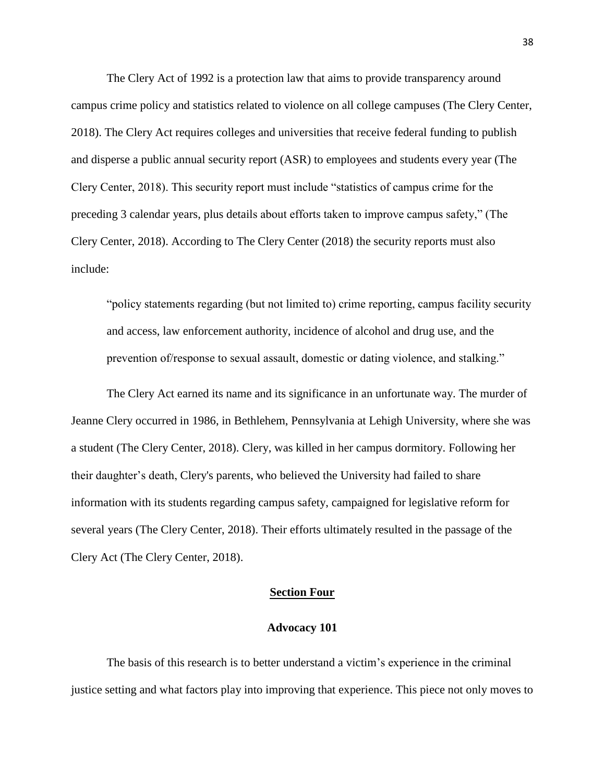The Clery Act of 1992 is a protection law that aims to provide transparency around campus crime policy and statistics related to violence on all college campuses (The Clery Center, 2018). The Clery Act requires colleges and universities that receive federal funding to publish and disperse a public annual security report (ASR) to employees and students every year (The Clery Center, 2018). This security report must include "statistics of campus crime for the preceding 3 calendar years, plus details about efforts taken to improve campus safety," (The Clery Center, 2018). According to The Clery Center (2018) the security reports must also include:

"policy statements regarding (but not limited to) crime reporting, campus facility security and access, law enforcement authority, incidence of alcohol and drug use, and the prevention of/response to sexual assault, domestic or dating violence, and stalking."

The Clery Act earned its name and its significance in an unfortunate way. The murder of Jeanne Clery occurred in 1986, in Bethlehem, Pennsylvania at Lehigh University, where she was a student (The Clery Center, 2018). Clery, was killed in her campus dormitory. Following her their daughter's death, Clery's parents, who believed the University had failed to share information with its students regarding campus safety, campaigned for legislative reform for several years (The Clery Center, 2018). Their efforts ultimately resulted in the passage of the Clery Act (The Clery Center, 2018).

## **Section Four**

#### **Advocacy 101**

The basis of this research is to better understand a victim's experience in the criminal justice setting and what factors play into improving that experience. This piece not only moves to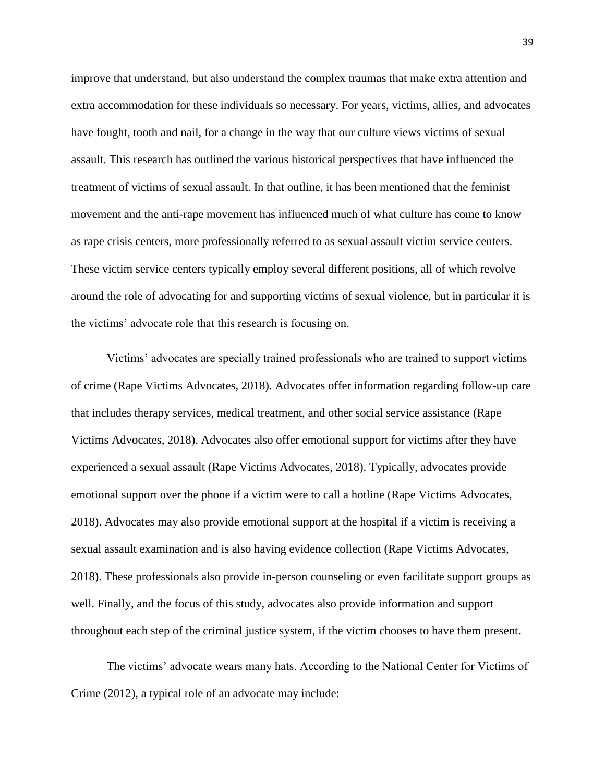improve that understand, but also understand the complex traumas that make extra attention and extra accommodation for these individuals so necessary. For years, victims, allies, and advocates have fought, tooth and nail, for a change in the way that our culture views victims of sexual assault. This research has outlined the various historical perspectives that have influenced the treatment of victims of sexual assault. In that outline, it has been mentioned that the feminist movement and the anti-rape movement has influenced much of what culture has come to know as rape crisis centers, more professionally referred to as sexual assault victim service centers. These victim service centers typically employ several different positions, all of which revolve around the role of advocating for and supporting victims of sexual violence, but in particular it is the victims' advocate role that this research is focusing on.

Victims' advocates are specially trained professionals who are trained to support victims of crime (Rape Victims Advocates, 2018). Advocates offer information regarding follow-up care that includes therapy services, medical treatment, and other social service assistance (Rape Victims Advocates, 2018). Advocates also offer emotional support for victims after they have experienced a sexual assault (Rape Victims Advocates, 2018). Typically, advocates provide emotional support over the phone if a victim were to call a hotline (Rape Victims Advocates, 2018). Advocates may also provide emotional support at the hospital if a victim is receiving a sexual assault examination and is also having evidence collection (Rape Victims Advocates, 2018). These professionals also provide in-person counseling or even facilitate support groups as well. Finally, and the focus of this study, advocates also provide information and support throughout each step of the criminal justice system, if the victim chooses to have them present.

The victims' advocate wears many hats. According to the National Center for Victims of Crime (2012), a typical role of an advocate may include: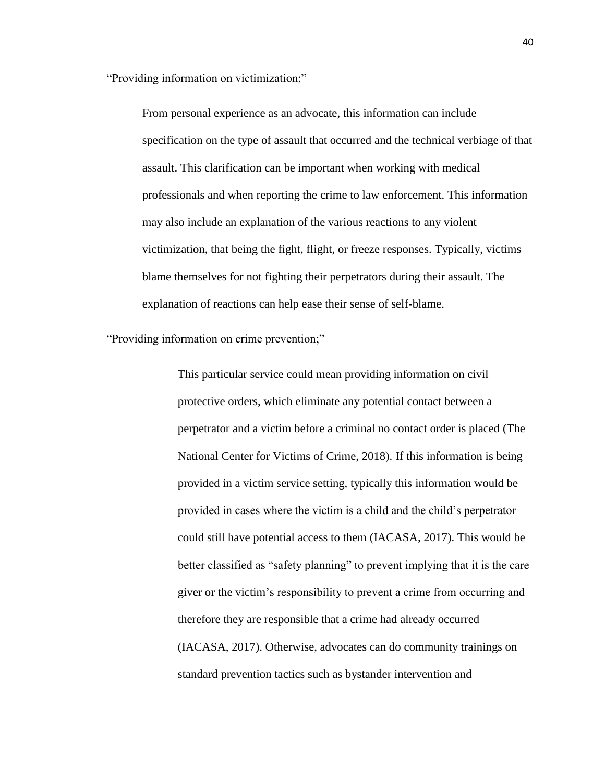"Providing information on victimization;"

From personal experience as an advocate, this information can include specification on the type of assault that occurred and the technical verbiage of that assault. This clarification can be important when working with medical professionals and when reporting the crime to law enforcement. This information may also include an explanation of the various reactions to any violent victimization, that being the fight, flight, or freeze responses. Typically, victims blame themselves for not fighting their perpetrators during their assault. The explanation of reactions can help ease their sense of self-blame.

"Providing information on crime prevention;"

This particular service could mean providing information on civil protective orders, which eliminate any potential contact between a perpetrator and a victim before a criminal no contact order is placed (The National Center for Victims of Crime, 2018). If this information is being provided in a victim service setting, typically this information would be provided in cases where the victim is a child and the child's perpetrator could still have potential access to them (IACASA, 2017). This would be better classified as "safety planning" to prevent implying that it is the care giver or the victim's responsibility to prevent a crime from occurring and therefore they are responsible that a crime had already occurred (IACASA, 2017). Otherwise, advocates can do community trainings on standard prevention tactics such as bystander intervention and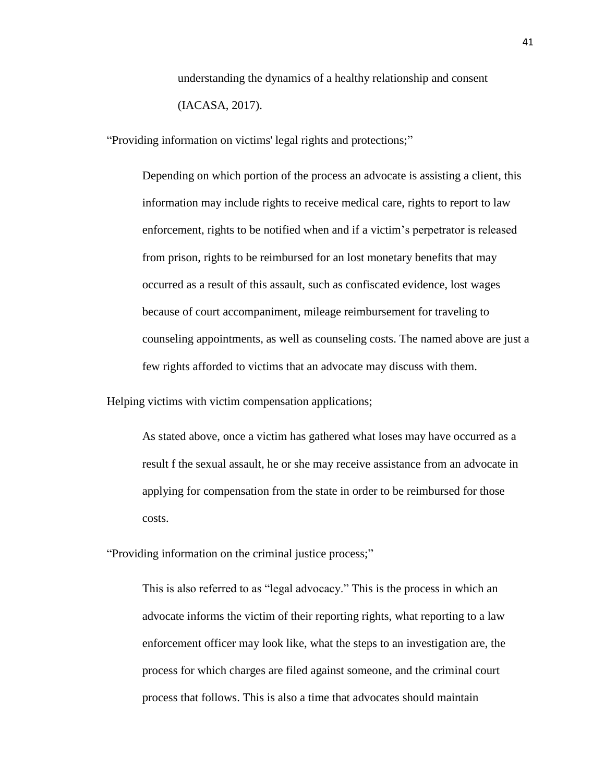understanding the dynamics of a healthy relationship and consent (IACASA, 2017).

"Providing information on victims' legal rights and protections;"

Depending on which portion of the process an advocate is assisting a client, this information may include rights to receive medical care, rights to report to law enforcement, rights to be notified when and if a victim's perpetrator is released from prison, rights to be reimbursed for an lost monetary benefits that may occurred as a result of this assault, such as confiscated evidence, lost wages because of court accompaniment, mileage reimbursement for traveling to counseling appointments, as well as counseling costs. The named above are just a few rights afforded to victims that an advocate may discuss with them.

Helping victims with victim compensation applications;

As stated above, once a victim has gathered what loses may have occurred as a result f the sexual assault, he or she may receive assistance from an advocate in applying for compensation from the state in order to be reimbursed for those costs.

"Providing information on the criminal justice process;"

This is also referred to as "legal advocacy." This is the process in which an advocate informs the victim of their reporting rights, what reporting to a law enforcement officer may look like, what the steps to an investigation are, the process for which charges are filed against someone, and the criminal court process that follows. This is also a time that advocates should maintain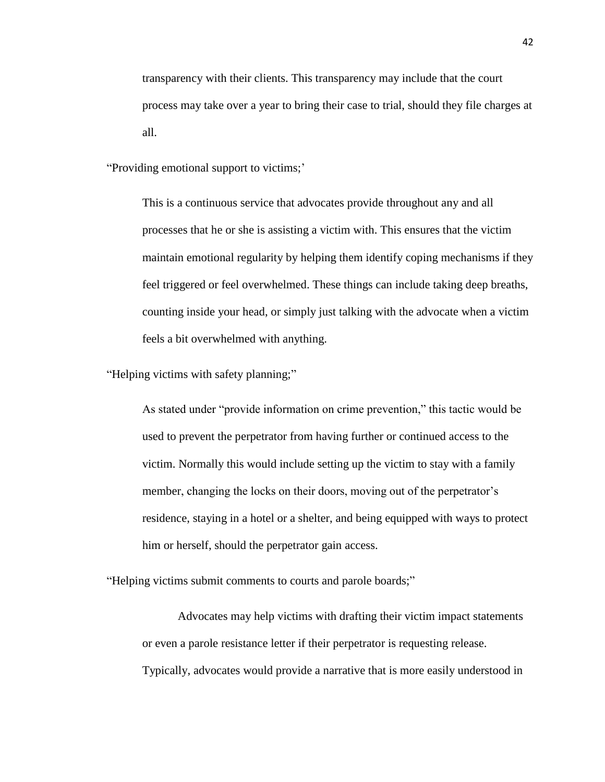transparency with their clients. This transparency may include that the court process may take over a year to bring their case to trial, should they file charges at all.

"Providing emotional support to victims;'

This is a continuous service that advocates provide throughout any and all processes that he or she is assisting a victim with. This ensures that the victim maintain emotional regularity by helping them identify coping mechanisms if they feel triggered or feel overwhelmed. These things can include taking deep breaths, counting inside your head, or simply just talking with the advocate when a victim feels a bit overwhelmed with anything.

"Helping victims with safety planning;"

As stated under "provide information on crime prevention," this tactic would be used to prevent the perpetrator from having further or continued access to the victim. Normally this would include setting up the victim to stay with a family member, changing the locks on their doors, moving out of the perpetrator's residence, staying in a hotel or a shelter, and being equipped with ways to protect him or herself, should the perpetrator gain access.

"Helping victims submit comments to courts and parole boards;"

Advocates may help victims with drafting their victim impact statements or even a parole resistance letter if their perpetrator is requesting release. Typically, advocates would provide a narrative that is more easily understood in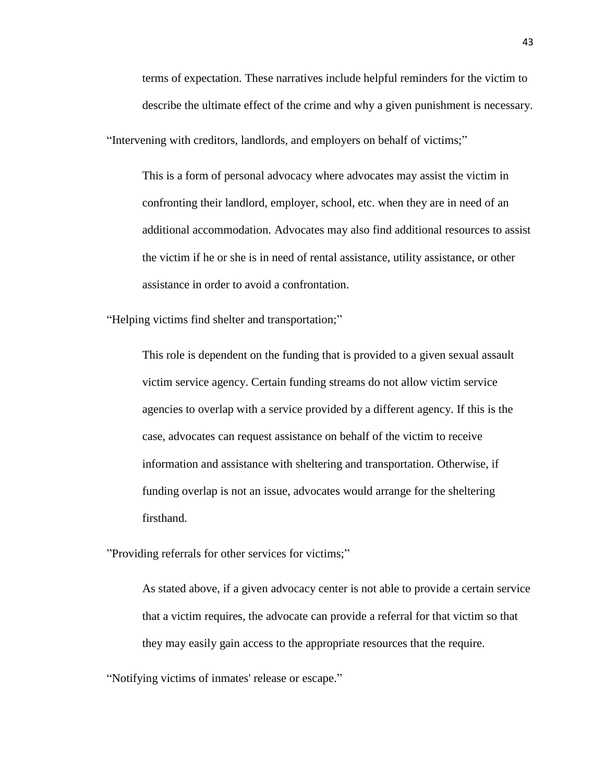terms of expectation. These narratives include helpful reminders for the victim to describe the ultimate effect of the crime and why a given punishment is necessary.

"Intervening with creditors, landlords, and employers on behalf of victims;"

This is a form of personal advocacy where advocates may assist the victim in confronting their landlord, employer, school, etc. when they are in need of an additional accommodation. Advocates may also find additional resources to assist the victim if he or she is in need of rental assistance, utility assistance, or other assistance in order to avoid a confrontation.

"Helping victims find shelter and transportation;"

This role is dependent on the funding that is provided to a given sexual assault victim service agency. Certain funding streams do not allow victim service agencies to overlap with a service provided by a different agency. If this is the case, advocates can request assistance on behalf of the victim to receive information and assistance with sheltering and transportation. Otherwise, if funding overlap is not an issue, advocates would arrange for the sheltering firsthand.

"Providing referrals for other services for victims;"

As stated above, if a given advocacy center is not able to provide a certain service that a victim requires, the advocate can provide a referral for that victim so that they may easily gain access to the appropriate resources that the require.

"Notifying victims of inmates' release or escape."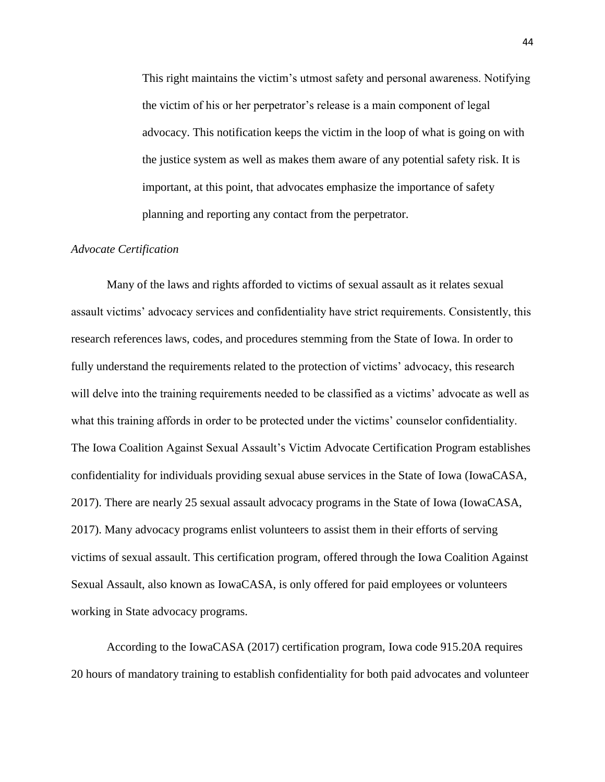This right maintains the victim's utmost safety and personal awareness. Notifying the victim of his or her perpetrator's release is a main component of legal advocacy. This notification keeps the victim in the loop of what is going on with the justice system as well as makes them aware of any potential safety risk. It is important, at this point, that advocates emphasize the importance of safety planning and reporting any contact from the perpetrator.

### *Advocate Certification*

Many of the laws and rights afforded to victims of sexual assault as it relates sexual assault victims' advocacy services and confidentiality have strict requirements. Consistently, this research references laws, codes, and procedures stemming from the State of Iowa. In order to fully understand the requirements related to the protection of victims' advocacy, this research will delve into the training requirements needed to be classified as a victims' advocate as well as what this training affords in order to be protected under the victims' counselor confidentiality. The Iowa Coalition Against Sexual Assault's Victim Advocate Certification Program establishes confidentiality for individuals providing sexual abuse services in the State of Iowa (IowaCASA, 2017). There are nearly 25 sexual assault advocacy programs in the State of Iowa (IowaCASA, 2017). Many advocacy programs enlist volunteers to assist them in their efforts of serving victims of sexual assault. This certification program, offered through the Iowa Coalition Against Sexual Assault, also known as IowaCASA, is only offered for paid employees or volunteers working in State advocacy programs.

According to the IowaCASA (2017) certification program, Iowa code 915.20A requires 20 hours of mandatory training to establish confidentiality for both paid advocates and volunteer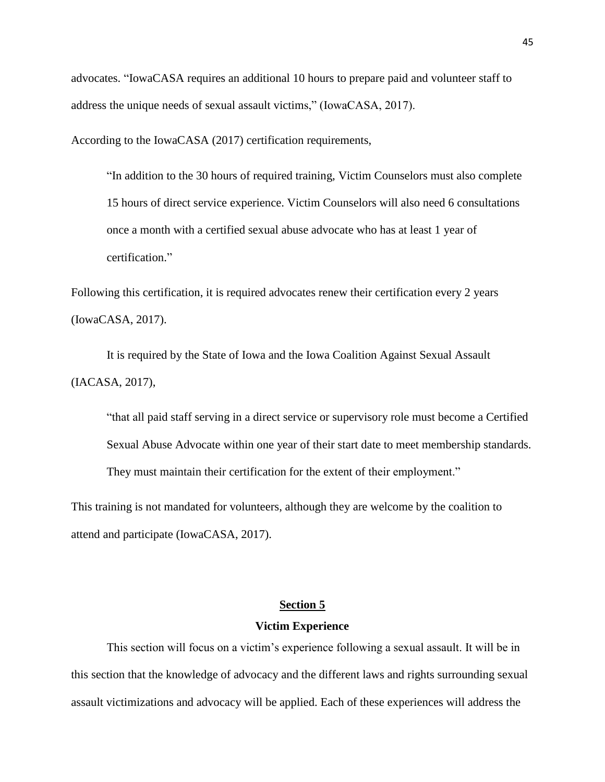advocates. "IowaCASA requires an additional 10 hours to prepare paid and volunteer staff to address the unique needs of sexual assault victims," (IowaCASA, 2017).

According to the IowaCASA (2017) certification requirements,

"In addition to the 30 hours of required training, Victim Counselors must also complete 15 hours of direct service experience. Victim Counselors will also need 6 consultations once a month with a certified sexual abuse advocate who has at least 1 year of certification."

Following this certification, it is required advocates renew their certification every 2 years (IowaCASA, 2017).

It is required by the State of Iowa and the Iowa Coalition Against Sexual Assault (IACASA, 2017),

"that all paid staff serving in a direct service or supervisory role must become a Certified Sexual Abuse Advocate within one year of their start date to meet membership standards. They must maintain their certification for the extent of their employment."

This training is not mandated for volunteers, although they are welcome by the coalition to attend and participate (IowaCASA, 2017).

# **Section 5**

#### **Victim Experience**

This section will focus on a victim's experience following a sexual assault. It will be in this section that the knowledge of advocacy and the different laws and rights surrounding sexual assault victimizations and advocacy will be applied. Each of these experiences will address the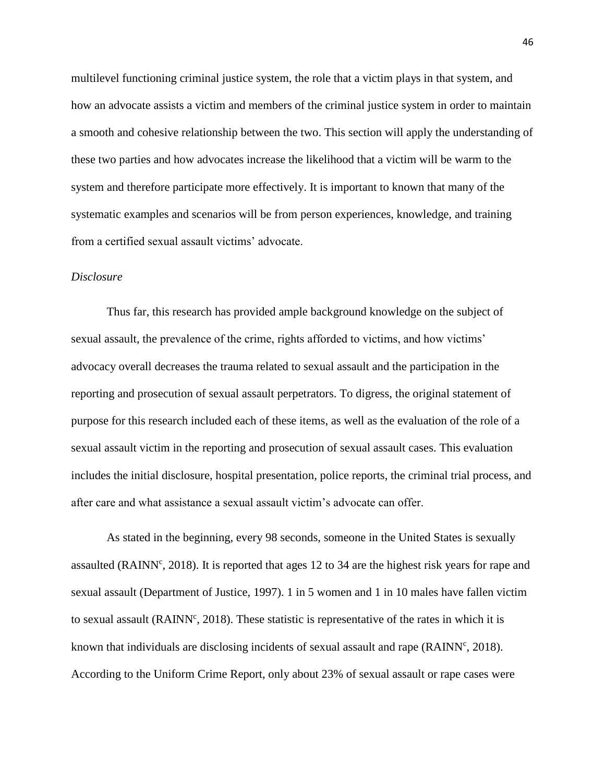multilevel functioning criminal justice system, the role that a victim plays in that system, and how an advocate assists a victim and members of the criminal justice system in order to maintain a smooth and cohesive relationship between the two. This section will apply the understanding of these two parties and how advocates increase the likelihood that a victim will be warm to the system and therefore participate more effectively. It is important to known that many of the systematic examples and scenarios will be from person experiences, knowledge, and training from a certified sexual assault victims' advocate.

## *Disclosure*

Thus far, this research has provided ample background knowledge on the subject of sexual assault, the prevalence of the crime, rights afforded to victims, and how victims' advocacy overall decreases the trauma related to sexual assault and the participation in the reporting and prosecution of sexual assault perpetrators. To digress, the original statement of purpose for this research included each of these items, as well as the evaluation of the role of a sexual assault victim in the reporting and prosecution of sexual assault cases. This evaluation includes the initial disclosure, hospital presentation, police reports, the criminal trial process, and after care and what assistance a sexual assault victim's advocate can offer.

As stated in the beginning, every 98 seconds, someone in the United States is sexually assaulted (RAINN<sup>c</sup>, 2018). It is reported that ages 12 to 34 are the highest risk years for rape and sexual assault (Department of Justice, 1997). 1 in 5 women and 1 in 10 males have fallen victim to sexual assault (RAINN<sup>c</sup>, 2018). These statistic is representative of the rates in which it is known that individuals are disclosing incidents of sexual assault and rape ( $\text{RAINN}^c$ , 2018). According to the Uniform Crime Report, only about 23% of sexual assault or rape cases were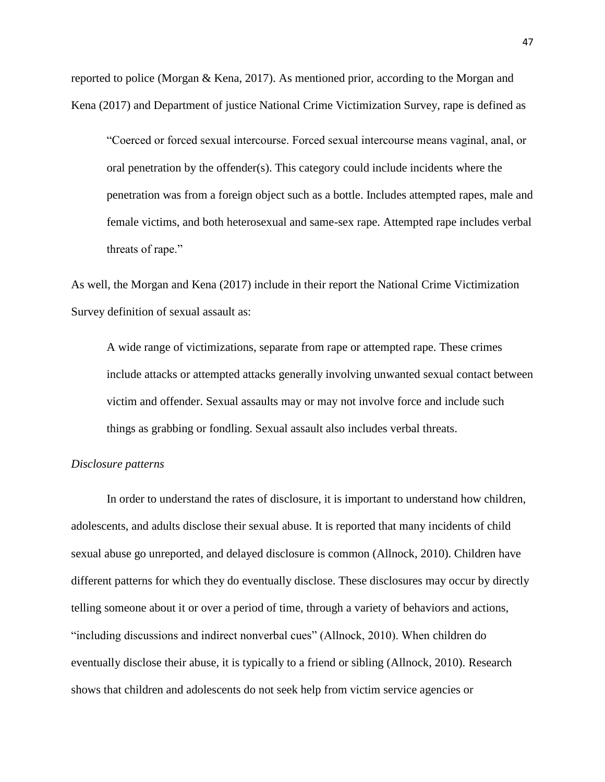reported to police (Morgan & Kena, 2017). As mentioned prior, according to the Morgan and Kena (2017) and Department of justice National Crime Victimization Survey, rape is defined as

"Coerced or forced sexual intercourse. Forced sexual intercourse means vaginal, anal, or oral penetration by the offender(s). This category could include incidents where the penetration was from a foreign object such as a bottle. Includes attempted rapes, male and female victims, and both heterosexual and same-sex rape. Attempted rape includes verbal threats of rape."

As well, the Morgan and Kena (2017) include in their report the National Crime Victimization Survey definition of sexual assault as:

A wide range of victimizations, separate from rape or attempted rape. These crimes include attacks or attempted attacks generally involving unwanted sexual contact between victim and offender. Sexual assaults may or may not involve force and include such things as grabbing or fondling. Sexual assault also includes verbal threats.

#### *Disclosure patterns*

In order to understand the rates of disclosure, it is important to understand how children, adolescents, and adults disclose their sexual abuse. It is reported that many incidents of child sexual abuse go unreported, and delayed disclosure is common (Allnock, 2010). Children have different patterns for which they do eventually disclose. These disclosures may occur by directly telling someone about it or over a period of time, through a variety of behaviors and actions, "including discussions and indirect nonverbal cues" (Allnock, 2010). When children do eventually disclose their abuse, it is typically to a friend or sibling (Allnock, 2010). Research shows that children and adolescents do not seek help from victim service agencies or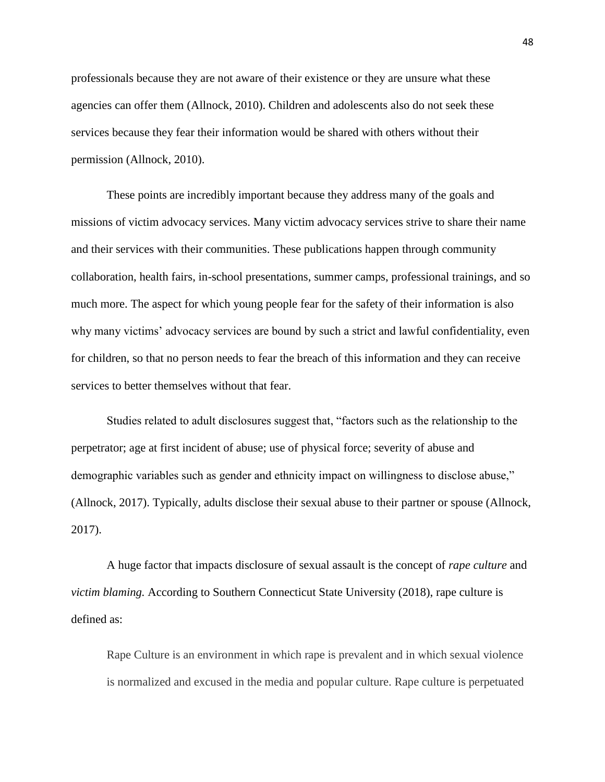professionals because they are not aware of their existence or they are unsure what these agencies can offer them (Allnock, 2010). Children and adolescents also do not seek these services because they fear their information would be shared with others without their permission (Allnock, 2010).

These points are incredibly important because they address many of the goals and missions of victim advocacy services. Many victim advocacy services strive to share their name and their services with their communities. These publications happen through community collaboration, health fairs, in-school presentations, summer camps, professional trainings, and so much more. The aspect for which young people fear for the safety of their information is also why many victims' advocacy services are bound by such a strict and lawful confidentiality, even for children, so that no person needs to fear the breach of this information and they can receive services to better themselves without that fear.

Studies related to adult disclosures suggest that, "factors such as the relationship to the perpetrator; age at first incident of abuse; use of physical force; severity of abuse and demographic variables such as gender and ethnicity impact on willingness to disclose abuse," (Allnock, 2017). Typically, adults disclose their sexual abuse to their partner or spouse (Allnock, 2017).

A huge factor that impacts disclosure of sexual assault is the concept of *rape culture* and *victim blaming.* According to Southern Connecticut State University (2018), rape culture is defined as:

Rape Culture is an environment in which rape is prevalent and in which sexual violence is normalized and excused in the media and popular culture. Rape culture is perpetuated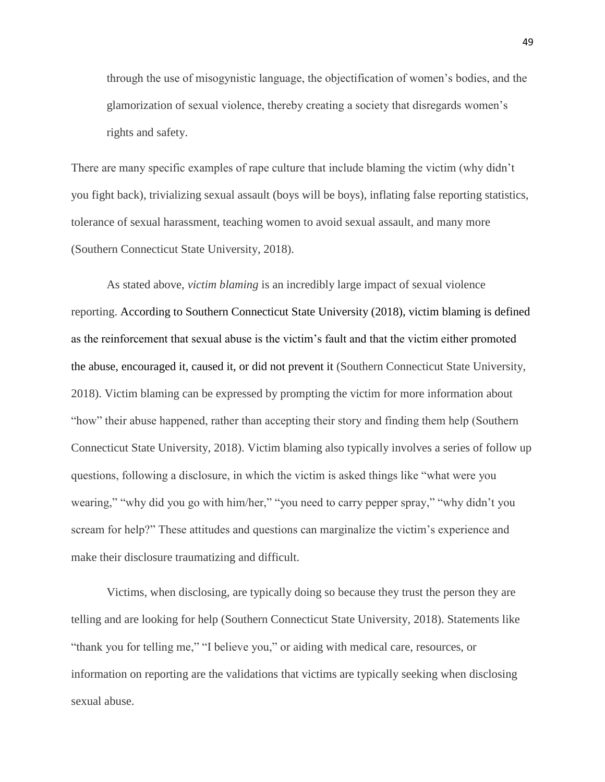through the use of misogynistic language, the objectification of women's bodies, and the glamorization of sexual violence, thereby creating a society that disregards women's rights and safety.

There are many specific examples of rape culture that include blaming the victim (why didn't you fight back), trivializing sexual assault (boys will be boys), inflating false reporting statistics, tolerance of sexual harassment, teaching women to avoid sexual assault, and many more (Southern Connecticut State University, 2018).

As stated above, *victim blaming* is an incredibly large impact of sexual violence reporting. According to Southern Connecticut State University (2018), victim blaming is defined as the reinforcement that sexual abuse is the victim's fault and that the victim either promoted the abuse, encouraged it, caused it, or did not prevent it (Southern Connecticut State University, 2018). Victim blaming can be expressed by prompting the victim for more information about "how" their abuse happened, rather than accepting their story and finding them help (Southern Connecticut State University, 2018). Victim blaming also typically involves a series of follow up questions, following a disclosure, in which the victim is asked things like "what were you wearing," "why did you go with him/her," "you need to carry pepper spray," "why didn't you scream for help?" These attitudes and questions can marginalize the victim's experience and make their disclosure traumatizing and difficult.

Victims, when disclosing, are typically doing so because they trust the person they are telling and are looking for help (Southern Connecticut State University, 2018). Statements like "thank you for telling me," "I believe you," or aiding with medical care, resources, or information on reporting are the validations that victims are typically seeking when disclosing sexual abuse.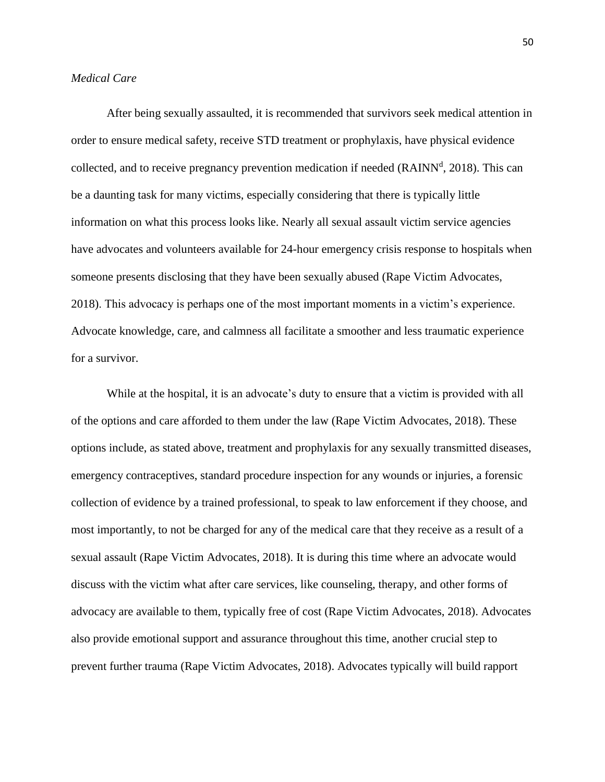## *Medical Care*

After being sexually assaulted, it is recommended that survivors seek medical attention in order to ensure medical safety, receive STD treatment or prophylaxis, have physical evidence collected, and to receive pregnancy prevention medication if needed (RAINN<sup>d</sup>, 2018). This can be a daunting task for many victims, especially considering that there is typically little information on what this process looks like. Nearly all sexual assault victim service agencies have advocates and volunteers available for 24-hour emergency crisis response to hospitals when someone presents disclosing that they have been sexually abused (Rape Victim Advocates, 2018). This advocacy is perhaps one of the most important moments in a victim's experience. Advocate knowledge, care, and calmness all facilitate a smoother and less traumatic experience for a survivor.

While at the hospital, it is an advocate's duty to ensure that a victim is provided with all of the options and care afforded to them under the law (Rape Victim Advocates, 2018). These options include, as stated above, treatment and prophylaxis for any sexually transmitted diseases, emergency contraceptives, standard procedure inspection for any wounds or injuries, a forensic collection of evidence by a trained professional, to speak to law enforcement if they choose, and most importantly, to not be charged for any of the medical care that they receive as a result of a sexual assault (Rape Victim Advocates, 2018). It is during this time where an advocate would discuss with the victim what after care services, like counseling, therapy, and other forms of advocacy are available to them, typically free of cost (Rape Victim Advocates, 2018). Advocates also provide emotional support and assurance throughout this time, another crucial step to prevent further trauma (Rape Victim Advocates, 2018). Advocates typically will build rapport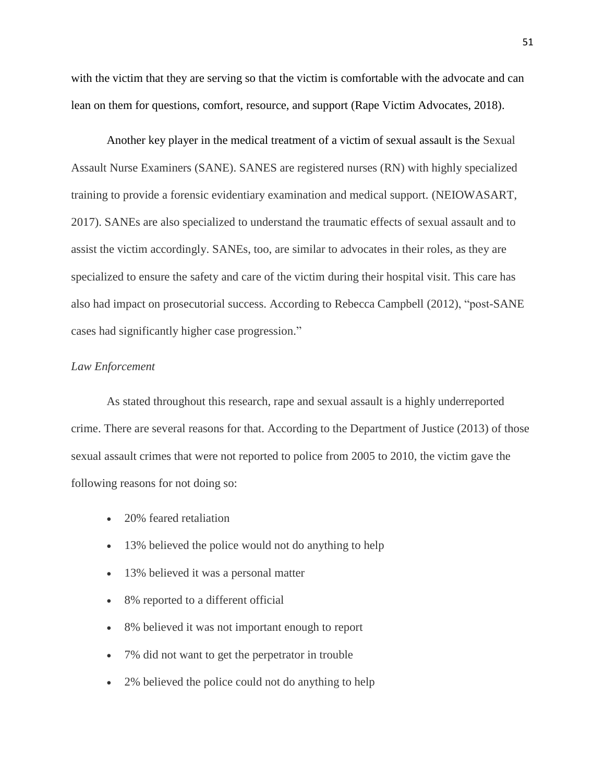with the victim that they are serving so that the victim is comfortable with the advocate and can lean on them for questions, comfort, resource, and support (Rape Victim Advocates, 2018).

Another key player in the medical treatment of a victim of sexual assault is the Sexual Assault Nurse Examiners (SANE). SANES are registered nurses (RN) with highly specialized training to provide a forensic evidentiary examination and medical support. (NEIOWASART, 2017). SANEs are also specialized to understand the traumatic effects of sexual assault and to assist the victim accordingly. SANEs, too, are similar to advocates in their roles, as they are specialized to ensure the safety and care of the victim during their hospital visit. This care has also had impact on prosecutorial success. According to Rebecca Campbell (2012), "post-SANE cases had significantly higher case progression."

## *Law Enforcement*

As stated throughout this research, rape and sexual assault is a highly underreported crime. There are several reasons for that. According to the Department of Justice (2013) of those sexual assault crimes that were not reported to police from 2005 to 2010, the victim gave the following reasons for not doing so:

- 20% feared retaliation
- 13% believed the police would not do anything to help
- 13% believed it was a personal matter
- 8% reported to a different official
- 8% believed it was not important enough to report
- 7% did not want to get the perpetrator in trouble
- 2% believed the police could not do anything to help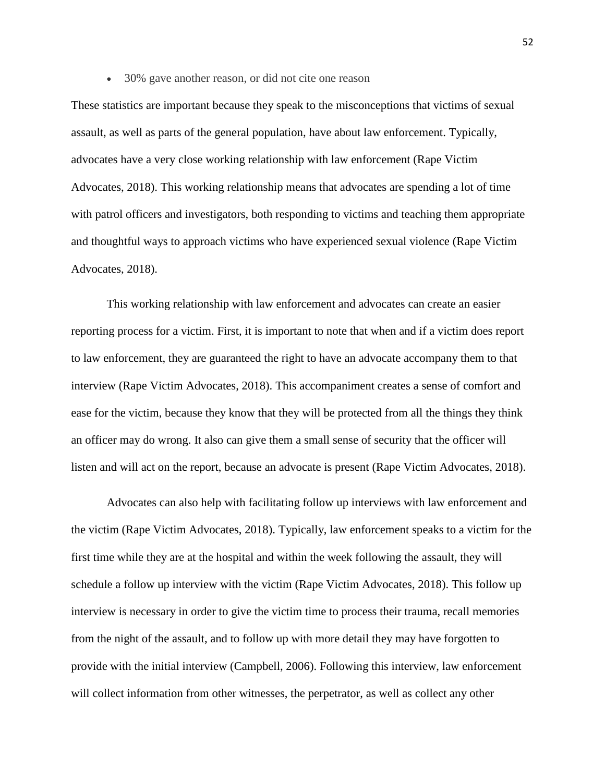30% gave another reason, or did not cite one reason

These statistics are important because they speak to the misconceptions that victims of sexual assault, as well as parts of the general population, have about law enforcement. Typically, advocates have a very close working relationship with law enforcement (Rape Victim Advocates, 2018). This working relationship means that advocates are spending a lot of time with patrol officers and investigators, both responding to victims and teaching them appropriate and thoughtful ways to approach victims who have experienced sexual violence (Rape Victim Advocates, 2018).

This working relationship with law enforcement and advocates can create an easier reporting process for a victim. First, it is important to note that when and if a victim does report to law enforcement, they are guaranteed the right to have an advocate accompany them to that interview (Rape Victim Advocates, 2018). This accompaniment creates a sense of comfort and ease for the victim, because they know that they will be protected from all the things they think an officer may do wrong. It also can give them a small sense of security that the officer will listen and will act on the report, because an advocate is present (Rape Victim Advocates, 2018).

Advocates can also help with facilitating follow up interviews with law enforcement and the victim (Rape Victim Advocates, 2018). Typically, law enforcement speaks to a victim for the first time while they are at the hospital and within the week following the assault, they will schedule a follow up interview with the victim (Rape Victim Advocates, 2018). This follow up interview is necessary in order to give the victim time to process their trauma, recall memories from the night of the assault, and to follow up with more detail they may have forgotten to provide with the initial interview (Campbell, 2006). Following this interview, law enforcement will collect information from other witnesses, the perpetrator, as well as collect any other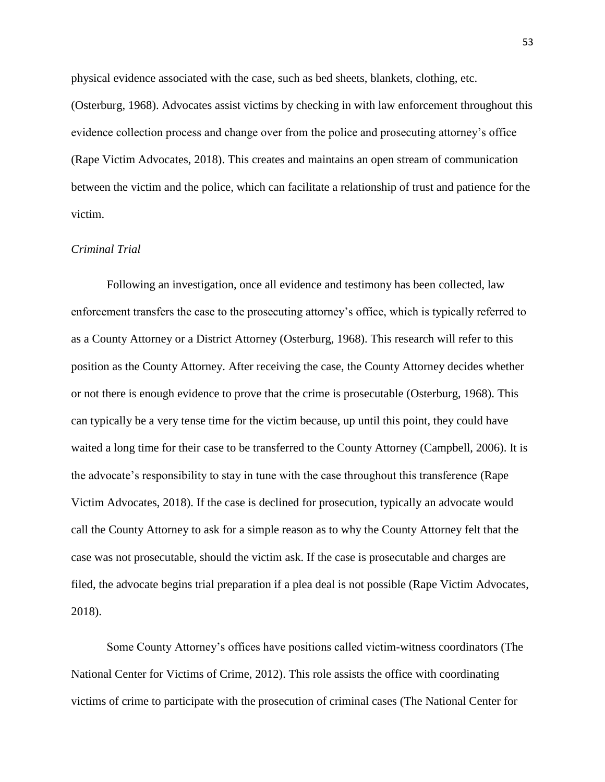physical evidence associated with the case, such as bed sheets, blankets, clothing, etc.

(Osterburg, 1968). Advocates assist victims by checking in with law enforcement throughout this evidence collection process and change over from the police and prosecuting attorney's office (Rape Victim Advocates, 2018). This creates and maintains an open stream of communication between the victim and the police, which can facilitate a relationship of trust and patience for the victim.

## *Criminal Trial*

Following an investigation, once all evidence and testimony has been collected, law enforcement transfers the case to the prosecuting attorney's office, which is typically referred to as a County Attorney or a District Attorney (Osterburg, 1968). This research will refer to this position as the County Attorney. After receiving the case, the County Attorney decides whether or not there is enough evidence to prove that the crime is prosecutable (Osterburg, 1968). This can typically be a very tense time for the victim because, up until this point, they could have waited a long time for their case to be transferred to the County Attorney (Campbell, 2006). It is the advocate's responsibility to stay in tune with the case throughout this transference (Rape Victim Advocates, 2018). If the case is declined for prosecution, typically an advocate would call the County Attorney to ask for a simple reason as to why the County Attorney felt that the case was not prosecutable, should the victim ask. If the case is prosecutable and charges are filed, the advocate begins trial preparation if a plea deal is not possible (Rape Victim Advocates, 2018).

Some County Attorney's offices have positions called victim-witness coordinators (The National Center for Victims of Crime, 2012). This role assists the office with coordinating victims of crime to participate with the prosecution of criminal cases (The National Center for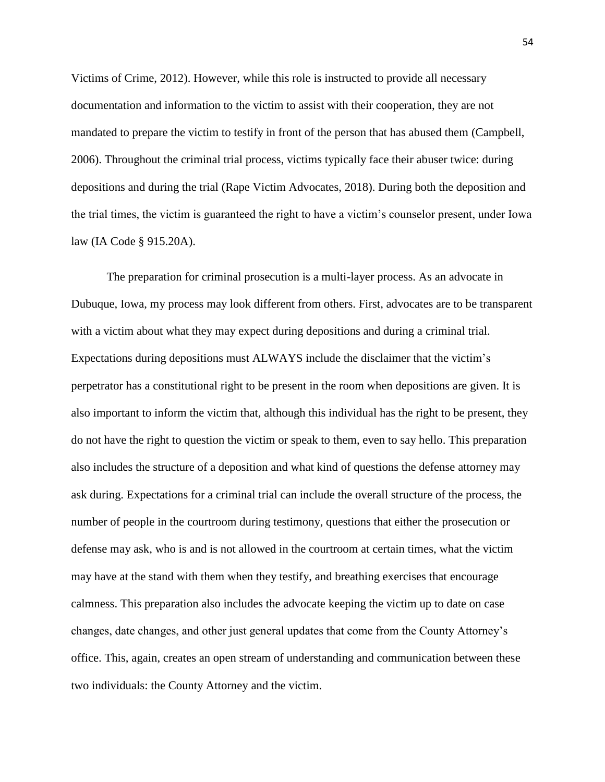Victims of Crime, 2012). However, while this role is instructed to provide all necessary documentation and information to the victim to assist with their cooperation, they are not mandated to prepare the victim to testify in front of the person that has abused them (Campbell, 2006). Throughout the criminal trial process, victims typically face their abuser twice: during depositions and during the trial (Rape Victim Advocates, 2018). During both the deposition and the trial times, the victim is guaranteed the right to have a victim's counselor present, under Iowa law (IA Code § 915.20A).

The preparation for criminal prosecution is a multi-layer process. As an advocate in Dubuque, Iowa, my process may look different from others. First, advocates are to be transparent with a victim about what they may expect during depositions and during a criminal trial. Expectations during depositions must ALWAYS include the disclaimer that the victim's perpetrator has a constitutional right to be present in the room when depositions are given. It is also important to inform the victim that, although this individual has the right to be present, they do not have the right to question the victim or speak to them, even to say hello. This preparation also includes the structure of a deposition and what kind of questions the defense attorney may ask during. Expectations for a criminal trial can include the overall structure of the process, the number of people in the courtroom during testimony, questions that either the prosecution or defense may ask, who is and is not allowed in the courtroom at certain times, what the victim may have at the stand with them when they testify, and breathing exercises that encourage calmness. This preparation also includes the advocate keeping the victim up to date on case changes, date changes, and other just general updates that come from the County Attorney's office. This, again, creates an open stream of understanding and communication between these two individuals: the County Attorney and the victim.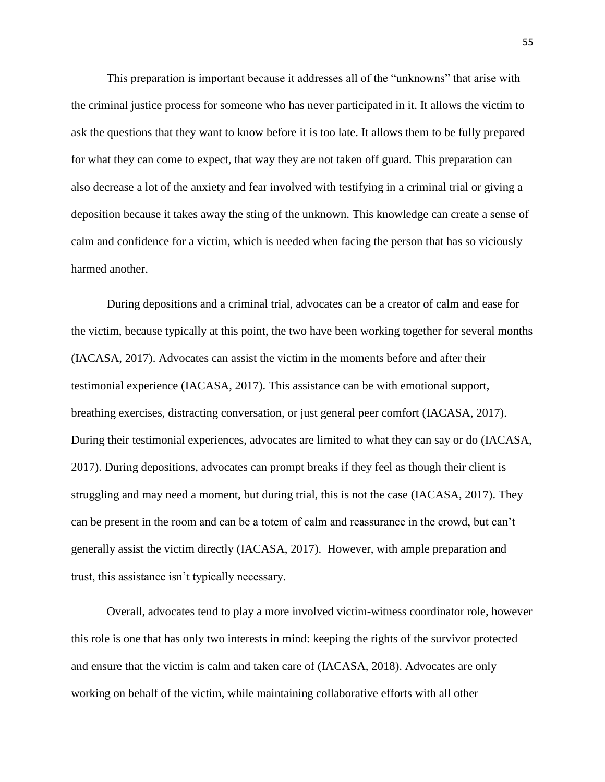This preparation is important because it addresses all of the "unknowns" that arise with the criminal justice process for someone who has never participated in it. It allows the victim to ask the questions that they want to know before it is too late. It allows them to be fully prepared for what they can come to expect, that way they are not taken off guard. This preparation can also decrease a lot of the anxiety and fear involved with testifying in a criminal trial or giving a deposition because it takes away the sting of the unknown. This knowledge can create a sense of calm and confidence for a victim, which is needed when facing the person that has so viciously harmed another.

During depositions and a criminal trial, advocates can be a creator of calm and ease for the victim, because typically at this point, the two have been working together for several months (IACASA, 2017). Advocates can assist the victim in the moments before and after their testimonial experience (IACASA, 2017). This assistance can be with emotional support, breathing exercises, distracting conversation, or just general peer comfort (IACASA, 2017). During their testimonial experiences, advocates are limited to what they can say or do (IACASA, 2017). During depositions, advocates can prompt breaks if they feel as though their client is struggling and may need a moment, but during trial, this is not the case (IACASA, 2017). They can be present in the room and can be a totem of calm and reassurance in the crowd, but can't generally assist the victim directly (IACASA, 2017). However, with ample preparation and trust, this assistance isn't typically necessary.

Overall, advocates tend to play a more involved victim-witness coordinator role, however this role is one that has only two interests in mind: keeping the rights of the survivor protected and ensure that the victim is calm and taken care of (IACASA, 2018). Advocates are only working on behalf of the victim, while maintaining collaborative efforts with all other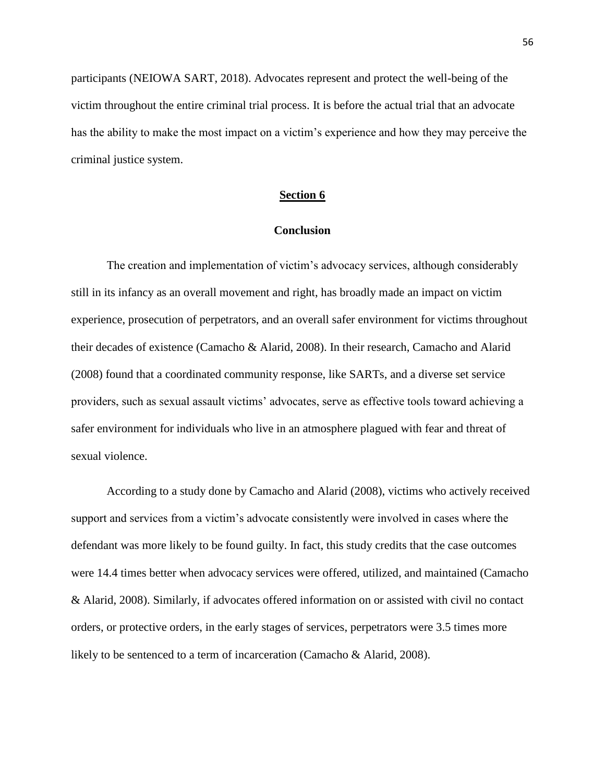participants (NEIOWA SART, 2018). Advocates represent and protect the well-being of the victim throughout the entire criminal trial process. It is before the actual trial that an advocate has the ability to make the most impact on a victim's experience and how they may perceive the criminal justice system.

## **Section 6**

## **Conclusion**

The creation and implementation of victim's advocacy services, although considerably still in its infancy as an overall movement and right, has broadly made an impact on victim experience, prosecution of perpetrators, and an overall safer environment for victims throughout their decades of existence (Camacho & Alarid, 2008). In their research, Camacho and Alarid (2008) found that a coordinated community response, like SARTs, and a diverse set service providers, such as sexual assault victims' advocates, serve as effective tools toward achieving a safer environment for individuals who live in an atmosphere plagued with fear and threat of sexual violence.

According to a study done by Camacho and Alarid (2008), victims who actively received support and services from a victim's advocate consistently were involved in cases where the defendant was more likely to be found guilty. In fact, this study credits that the case outcomes were 14.4 times better when advocacy services were offered, utilized, and maintained (Camacho & Alarid, 2008). Similarly, if advocates offered information on or assisted with civil no contact orders, or protective orders, in the early stages of services, perpetrators were 3.5 times more likely to be sentenced to a term of incarceration (Camacho & Alarid, 2008).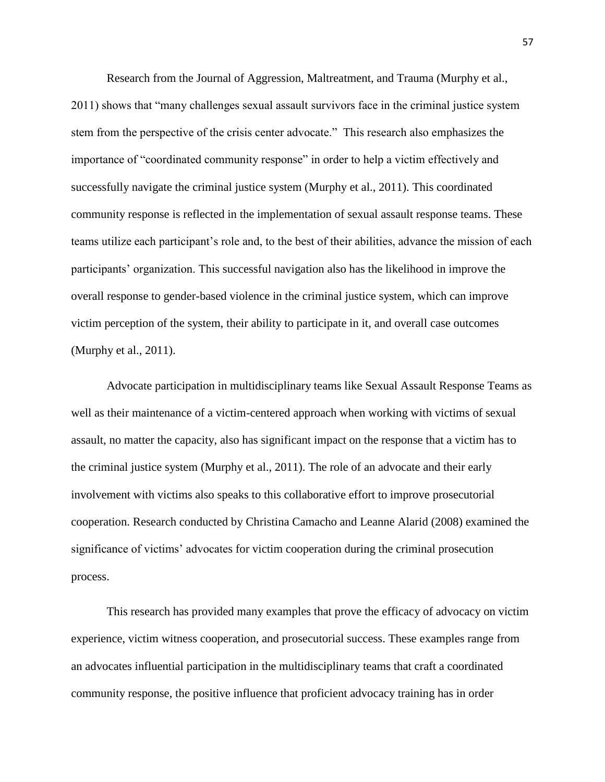Research from the Journal of Aggression, Maltreatment, and Trauma (Murphy et al., 2011) shows that "many challenges sexual assault survivors face in the criminal justice system stem from the perspective of the crisis center advocate." This research also emphasizes the importance of "coordinated community response" in order to help a victim effectively and successfully navigate the criminal justice system (Murphy et al., 2011). This coordinated community response is reflected in the implementation of sexual assault response teams. These teams utilize each participant's role and, to the best of their abilities, advance the mission of each participants' organization. This successful navigation also has the likelihood in improve the overall response to gender-based violence in the criminal justice system, which can improve victim perception of the system, their ability to participate in it, and overall case outcomes (Murphy et al., 2011).

Advocate participation in multidisciplinary teams like Sexual Assault Response Teams as well as their maintenance of a victim-centered approach when working with victims of sexual assault, no matter the capacity, also has significant impact on the response that a victim has to the criminal justice system (Murphy et al., 2011). The role of an advocate and their early involvement with victims also speaks to this collaborative effort to improve prosecutorial cooperation. Research conducted by Christina Camacho and Leanne Alarid (2008) examined the significance of victims' advocates for victim cooperation during the criminal prosecution process.

This research has provided many examples that prove the efficacy of advocacy on victim experience, victim witness cooperation, and prosecutorial success. These examples range from an advocates influential participation in the multidisciplinary teams that craft a coordinated community response, the positive influence that proficient advocacy training has in order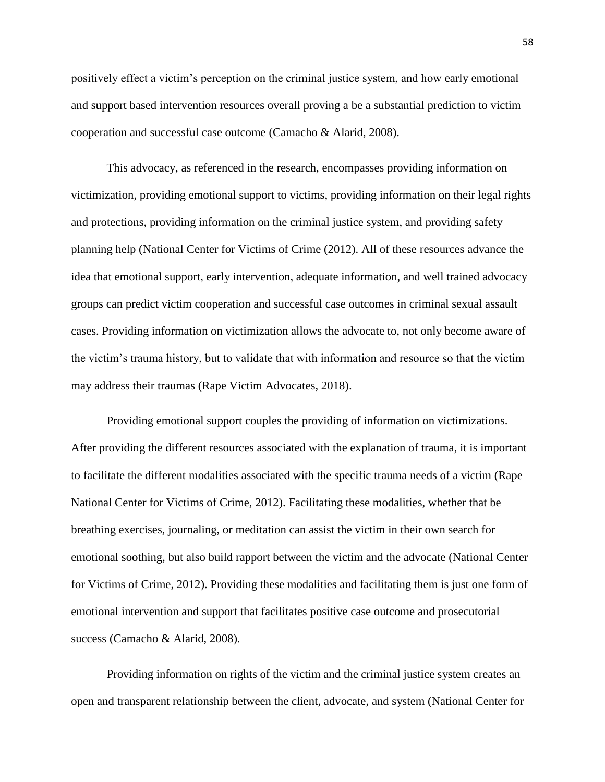positively effect a victim's perception on the criminal justice system, and how early emotional and support based intervention resources overall proving a be a substantial prediction to victim cooperation and successful case outcome (Camacho & Alarid, 2008).

This advocacy, as referenced in the research, encompasses providing information on victimization, providing emotional support to victims, providing information on their legal rights and protections, providing information on the criminal justice system, and providing safety planning help (National Center for Victims of Crime (2012). All of these resources advance the idea that emotional support, early intervention, adequate information, and well trained advocacy groups can predict victim cooperation and successful case outcomes in criminal sexual assault cases. Providing information on victimization allows the advocate to, not only become aware of the victim's trauma history, but to validate that with information and resource so that the victim may address their traumas (Rape Victim Advocates, 2018).

Providing emotional support couples the providing of information on victimizations. After providing the different resources associated with the explanation of trauma, it is important to facilitate the different modalities associated with the specific trauma needs of a victim (Rape National Center for Victims of Crime, 2012). Facilitating these modalities, whether that be breathing exercises, journaling, or meditation can assist the victim in their own search for emotional soothing, but also build rapport between the victim and the advocate (National Center for Victims of Crime, 2012). Providing these modalities and facilitating them is just one form of emotional intervention and support that facilitates positive case outcome and prosecutorial success (Camacho & Alarid, 2008).

Providing information on rights of the victim and the criminal justice system creates an open and transparent relationship between the client, advocate, and system (National Center for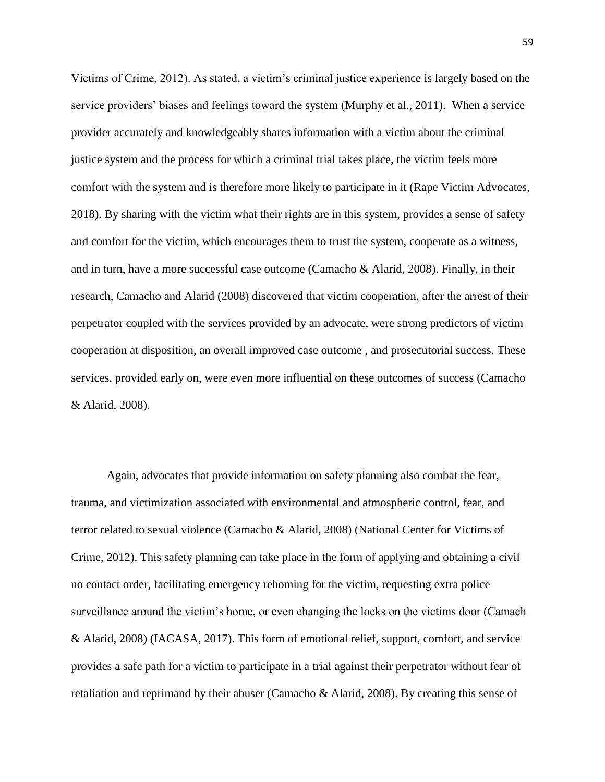Victims of Crime, 2012). As stated, a victim's criminal justice experience is largely based on the service providers' biases and feelings toward the system (Murphy et al., 2011). When a service provider accurately and knowledgeably shares information with a victim about the criminal justice system and the process for which a criminal trial takes place, the victim feels more comfort with the system and is therefore more likely to participate in it (Rape Victim Advocates, 2018). By sharing with the victim what their rights are in this system, provides a sense of safety and comfort for the victim, which encourages them to trust the system, cooperate as a witness, and in turn, have a more successful case outcome (Camacho & Alarid, 2008). Finally, in their research, Camacho and Alarid (2008) discovered that victim cooperation, after the arrest of their perpetrator coupled with the services provided by an advocate, were strong predictors of victim cooperation at disposition, an overall improved case outcome , and prosecutorial success. These services, provided early on, were even more influential on these outcomes of success (Camacho & Alarid, 2008).

Again, advocates that provide information on safety planning also combat the fear, trauma, and victimization associated with environmental and atmospheric control, fear, and terror related to sexual violence (Camacho & Alarid, 2008) (National Center for Victims of Crime, 2012). This safety planning can take place in the form of applying and obtaining a civil no contact order, facilitating emergency rehoming for the victim, requesting extra police surveillance around the victim's home, or even changing the locks on the victims door (Camach & Alarid, 2008) (IACASA, 2017). This form of emotional relief, support, comfort, and service provides a safe path for a victim to participate in a trial against their perpetrator without fear of retaliation and reprimand by their abuser (Camacho & Alarid, 2008). By creating this sense of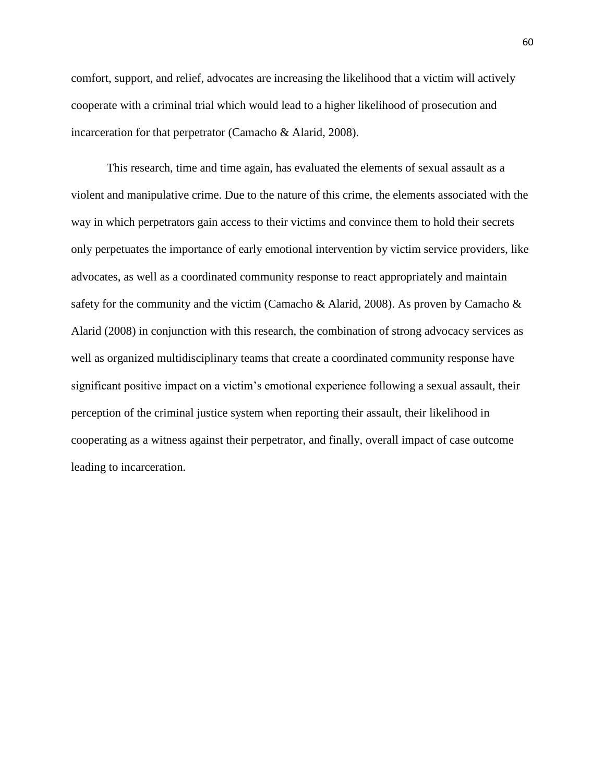comfort, support, and relief, advocates are increasing the likelihood that a victim will actively cooperate with a criminal trial which would lead to a higher likelihood of prosecution and incarceration for that perpetrator (Camacho & Alarid, 2008).

This research, time and time again, has evaluated the elements of sexual assault as a violent and manipulative crime. Due to the nature of this crime, the elements associated with the way in which perpetrators gain access to their victims and convince them to hold their secrets only perpetuates the importance of early emotional intervention by victim service providers, like advocates, as well as a coordinated community response to react appropriately and maintain safety for the community and the victim (Camacho & Alarid, 2008). As proven by Camacho & Alarid (2008) in conjunction with this research, the combination of strong advocacy services as well as organized multidisciplinary teams that create a coordinated community response have significant positive impact on a victim's emotional experience following a sexual assault, their perception of the criminal justice system when reporting their assault, their likelihood in cooperating as a witness against their perpetrator, and finally, overall impact of case outcome leading to incarceration.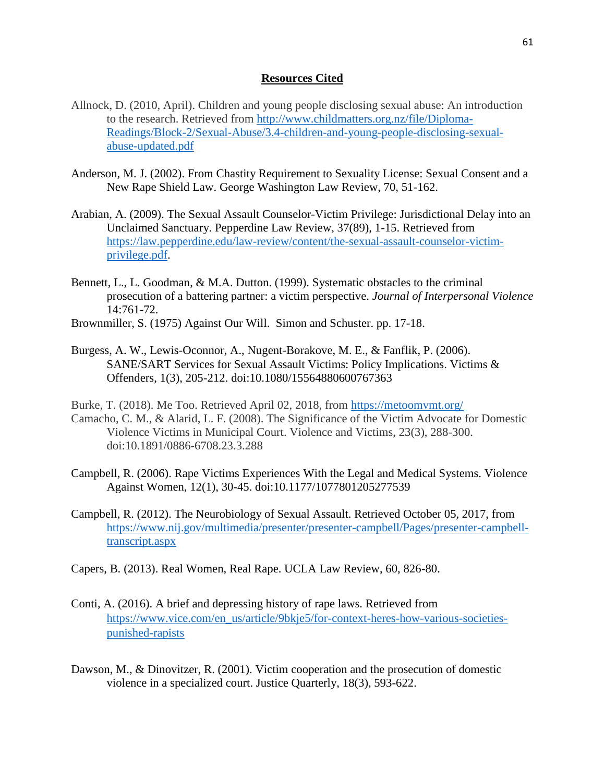## **Resources Cited**

- Allnock, D. (2010, April). Children and young people disclosing sexual abuse: An introduction to the research. Retrieved from [http://www.childmatters.org.nz/file/Diploma-](http://www.childmatters.org.nz/file/Diploma-Readings/Block-2/Sexual-Abuse/3.4-children-and-young-people-disclosing-sexual-abuse-updated.pdf)[Readings/Block-2/Sexual-Abuse/3.4-children-and-young-people-disclosing-sexual](http://www.childmatters.org.nz/file/Diploma-Readings/Block-2/Sexual-Abuse/3.4-children-and-young-people-disclosing-sexual-abuse-updated.pdf)[abuse-updated.pdf](http://www.childmatters.org.nz/file/Diploma-Readings/Block-2/Sexual-Abuse/3.4-children-and-young-people-disclosing-sexual-abuse-updated.pdf)
- Anderson, M. J. (2002). From Chastity Requirement to Sexuality License: Sexual Consent and a New Rape Shield Law. George Washington Law Review, 70, 51-162.
- Arabian, A. (2009). The Sexual Assault Counselor-Victim Privilege: Jurisdictional Delay into an Unclaimed Sanctuary. Pepperdine Law Review, 37(89), 1-15. Retrieved from [https://law.pepperdine.edu/law-review/content/the-sexual-assault-counselor-victim](https://law.pepperdine.edu/law-review/content/the-sexual-assault-counselor-victim-privilege.pdf)[privilege.pdf.](https://law.pepperdine.edu/law-review/content/the-sexual-assault-counselor-victim-privilege.pdf)
- Bennett, L., L. Goodman, & M.A. Dutton. (1999). Systematic obstacles to the criminal prosecution of a battering partner: a victim perspective. *Journal of Interpersonal Violence* 14:761-72.
- Brownmiller, S. (1975) Against Our Will. Simon and Schuster. pp. 17-18.
- Burgess, A. W., Lewis-Oconnor, A., Nugent-Borakove, M. E., & Fanflik, P. (2006). SANE/SART Services for Sexual Assault Victims: Policy Implications. Victims & Offenders, 1(3), 205-212. doi:10.1080/15564880600767363
- Burke, T. (2018). Me Too. Retrieved April 02, 2018, from<https://metoomvmt.org/> Camacho, C. M., & Alarid, L. F. (2008). The Significance of the Victim Advocate for Domestic Violence Victims in Municipal Court. Violence and Victims, 23(3), 288-300. doi:10.1891/0886-6708.23.3.288
- Campbell, R. (2006). Rape Victims Experiences With the Legal and Medical Systems. Violence Against Women, 12(1), 30-45. doi:10.1177/1077801205277539
- Campbell, R. (2012). The Neurobiology of Sexual Assault. Retrieved October 05, 2017, from [https://www.nij.gov/multimedia/presenter/presenter-campbell/Pages/presenter-campbell](https://www.nij.gov/multimedia/presenter/presenter-campbell/Pages/presenter-campbell-transcript.aspx)[transcript.aspx](https://www.nij.gov/multimedia/presenter/presenter-campbell/Pages/presenter-campbell-transcript.aspx)
- Capers, B. (2013). Real Women, Real Rape. UCLA Law Review, 60, 826-80.
- Conti, A. (2016). A brief and depressing history of rape laws. Retrieved from [https://www.vice.com/en\\_us/article/9bkje5/for-context-heres-how-various-societies](https://www.vice.com/en_us/article/9bkje5/for-context-heres-how-various-societies-punished-rapists)[punished-rapists](https://www.vice.com/en_us/article/9bkje5/for-context-heres-how-various-societies-punished-rapists)
- Dawson, M., & Dinovitzer, R. (2001). Victim cooperation and the prosecution of domestic violence in a specialized court. Justice Quarterly, 18(3), 593-622.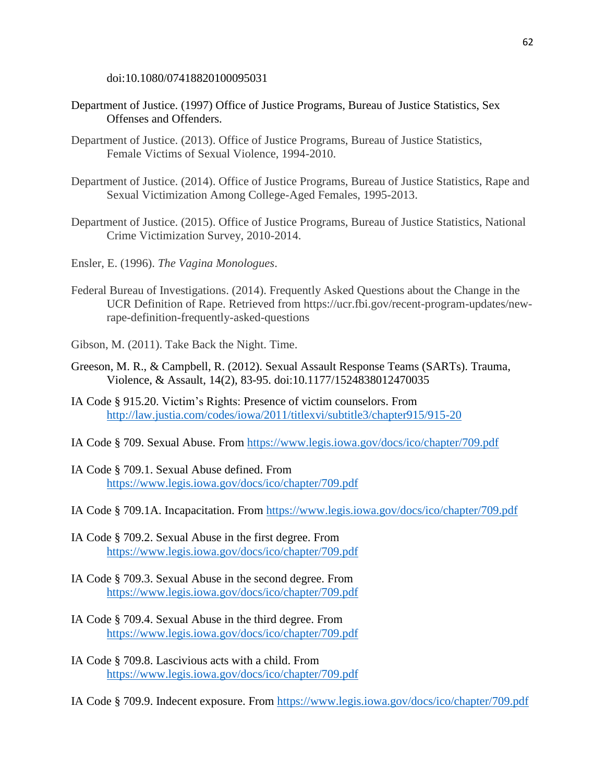doi:10.1080/07418820100095031

- Department of Justice. (1997) Office of Justice Programs, Bureau of Justice Statistics, Sex Offenses and Offenders.
- Department of Justice. (2013). Office of Justice Programs, Bureau of Justice Statistics, Female Victims of Sexual Violence, 1994-2010.
- Department of Justice. (2014). Office of Justice Programs, Bureau of Justice Statistics, Rape and Sexual Victimization Among College-Aged Females, 1995-2013.
- Department of Justice. (2015). Office of Justice Programs, Bureau of Justice Statistics, National Crime Victimization Survey, 2010-2014.
- Ensler, E. (1996). *The Vagina Monologues*.
- Federal Bureau of Investigations. (2014). Frequently Asked Questions about the Change in the UCR Definition of Rape. Retrieved from https://ucr.fbi.gov/recent-program-updates/newrape-definition-frequently-asked-questions
- Gibson, M. (2011). Take Back the Night. Time.
- Greeson, M. R., & Campbell, R. (2012). Sexual Assault Response Teams (SARTs). Trauma, Violence, & Assault, 14(2), 83-95. doi:10.1177/1524838012470035
- IA Code § 915.20. Victim's Rights: Presence of victim counselors. From <http://law.justia.com/codes/iowa/2011/titlexvi/subtitle3/chapter915/915-20>
- IA Code § 709. Sexual Abuse. From<https://www.legis.iowa.gov/docs/ico/chapter/709.pdf>
- IA Code § 709.1. Sexual Abuse defined. From <https://www.legis.iowa.gov/docs/ico/chapter/709.pdf>
- IA Code § 709.1A. Incapacitation. From<https://www.legis.iowa.gov/docs/ico/chapter/709.pdf>
- IA Code § 709.2. Sexual Abuse in the first degree. From <https://www.legis.iowa.gov/docs/ico/chapter/709.pdf>
- IA Code § 709.3. Sexual Abuse in the second degree. From <https://www.legis.iowa.gov/docs/ico/chapter/709.pdf>
- IA Code § 709.4. Sexual Abuse in the third degree. From <https://www.legis.iowa.gov/docs/ico/chapter/709.pdf>
- IA Code § 709.8. Lascivious acts with a child. From <https://www.legis.iowa.gov/docs/ico/chapter/709.pdf>

IA Code § 709.9. Indecent exposure. From<https://www.legis.iowa.gov/docs/ico/chapter/709.pdf>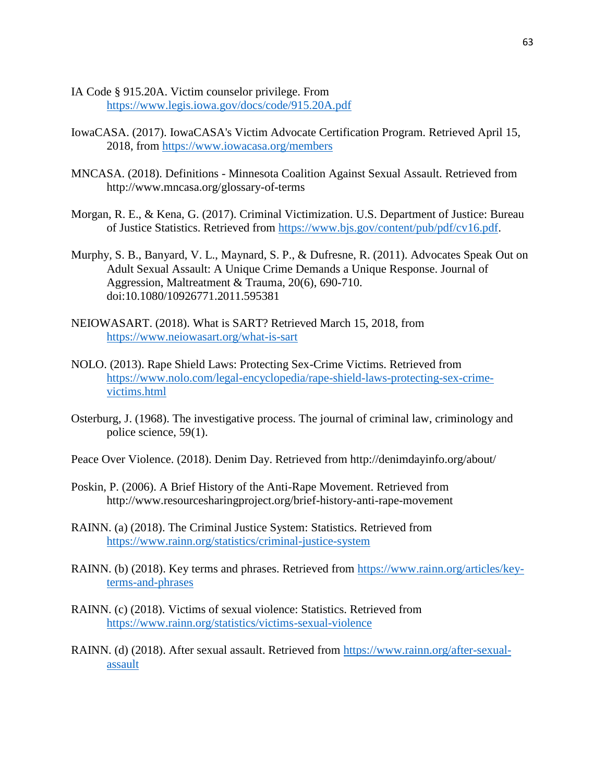- IA Code § 915.20A. Victim counselor privilege. From <https://www.legis.iowa.gov/docs/code/915.20A.pdf>
- IowaCASA. (2017). IowaCASA's Victim Advocate Certification Program. Retrieved April 15, 2018, from<https://www.iowacasa.org/members>
- MNCASA. (2018). Definitions Minnesota Coalition Against Sexual Assault. Retrieved from http://www.mncasa.org/glossary-of-terms
- Morgan, R. E., & Kena, G. (2017). Criminal Victimization. U.S. Department of Justice: Bureau of Justice Statistics. Retrieved from [https://www.bjs.gov/content/pub/pdf/cv16.pdf.](https://www.bjs.gov/content/pub/pdf/cv16.pdf)
- Murphy, S. B., Banyard, V. L., Maynard, S. P., & Dufresne, R. (2011). Advocates Speak Out on Adult Sexual Assault: A Unique Crime Demands a Unique Response. Journal of Aggression, Maltreatment & Trauma, 20(6), 690-710. doi:10.1080/10926771.2011.595381
- NEIOWASART. (2018). What is SART? Retrieved March 15, 2018, from <https://www.neiowasart.org/what-is-sart>
- NOLO. (2013). Rape Shield Laws: Protecting Sex-Crime Victims. Retrieved from [https://www.nolo.com/legal-encyclopedia/rape-shield-laws-protecting-sex-crime](https://www.nolo.com/legal-encyclopedia/rape-shield-laws-protecting-sex-crime-victims.html)[victims.html](https://www.nolo.com/legal-encyclopedia/rape-shield-laws-protecting-sex-crime-victims.html)
- Osterburg, J. (1968). The investigative process. The journal of criminal law, criminology and police science, 59(1).
- Peace Over Violence. (2018). Denim Day. Retrieved from http://denimdayinfo.org/about/
- Poskin, P. (2006). A Brief History of the Anti-Rape Movement. Retrieved from http://www.resourcesharingproject.org/brief-history-anti-rape-movement
- RAINN. (a) (2018). The Criminal Justice System: Statistics. Retrieved from <https://www.rainn.org/statistics/criminal-justice-system>
- RAINN. (b) (2018). Key terms and phrases. Retrieved from [https://www.rainn.org/articles/key](https://www.rainn.org/articles/key-terms-and-phrases)[terms-and-phrases](https://www.rainn.org/articles/key-terms-and-phrases)
- RAINN. (c) (2018). Victims of sexual violence: Statistics. Retrieved from <https://www.rainn.org/statistics/victims-sexual-violence>
- RAINN. (d) (2018). After sexual assault. Retrieved from [https://www.rainn.org/after-sexual](https://www.rainn.org/after-sexual-assault)[assault](https://www.rainn.org/after-sexual-assault)